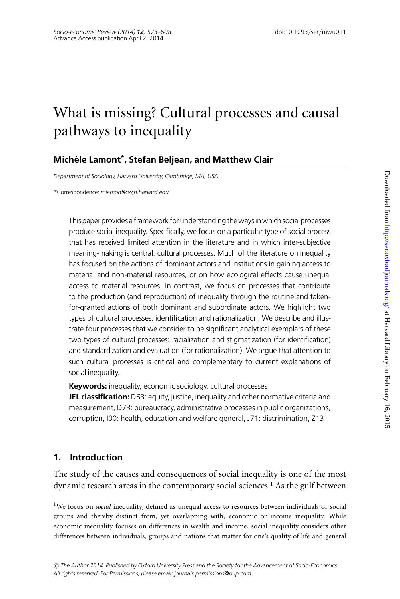# What is missing? Cultural processes and causal pathways to inequality

# Michèle Lamont\*, Stefan Beliean, and Matthew Clair

Department of Sociology, Harvard University, Cambridge, MA, USA

\*Correspondence: mlamont@wjh.harvard.edu

This paper provides a framework for understanding theways inwhich social processes produce social inequality. Specifically, we focus on a particular type of social process that has received limited attention in the literature and in which inter-subjective meaning-making is central: cultural processes. Much of the literature on inequality has focused on the actions of dominant actors and institutions in gaining access to material and non-material resources, or on how ecological effects cause unequal access to material resources. In contrast, we focus on processes that contribute to the production (and reproduction) of inequality through the routine and takenfor-granted actions of both dominant and subordinate actors. We highlight two types of cultural processes: identification and rationalization. We describe and illustrate four processes that we consider to be significant analytical exemplars of these two types of cultural processes: racialization and stigmatization (for identification) and standardization and evaluation (for rationalization). We argue that attention to such cultural processes is critical and complementary to current explanations of social inequality.

Keywords: inequality, economic sociology, cultural processes

JEL classification: D63: equity, justice, inequality and other normative criteria and measurement, D73: bureaucracy, administrative processes in public organizations, corruption, I00: health, education and welfare general, J71: discrimination, Z13

## 1. Introduction

The study of the causes and consequences of social inequality is one of the most dynamic research areas in the contemporary social sciences.<sup>1</sup> As the gulf between

<sup>&</sup>lt;sup>1</sup>We focus on social inequality, defined as unequal access to resources between individuals or social groups and thereby distinct from, yet overlapping with, economic or income inequality. While economic inequality focuses on differences in wealth and income, social inequality considers other differences between individuals, groups and nations that matter for one's quality of life and general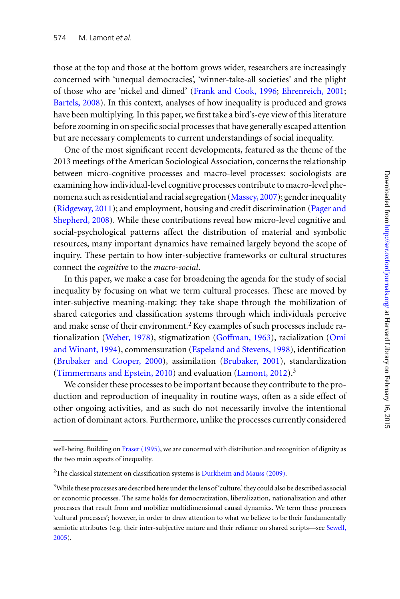those at the top and those at the bottom grows wider, researchers are increasingly concerned with 'unequal democracies', 'winner-take-all societies' and the plight of those who are 'nickel and dimed' [\(Frank and Cook, 1996](#page-30-0); [Ehrenreich, 2001;](#page-29-0) [Bartels, 2008\)](#page-27-0). In this context, analyses of how inequality is produced and grows have been multiplying. In this paper, we first take a bird's-eye view of this literature before zooming in on specific social processes that have generally escaped attention but are necessary complements to current understandings of social inequality.

One of the most significant recent developments, featured as the theme of the 2013 meetings of the American Sociological Association, concerns the relationship between micro-cognitive processes and macro-level processes: sociologists are examining how individual-level cognitive processes contribute to macro-level phenomena such as residential and racial segregation [\(Massey, 2007\)](#page-32-0); gender inequality ([Ridgeway, 2011](#page-33-0)); and employment, housing and credit discrimination [\(Pager and](#page-33-0) [Shepherd, 2008](#page-33-0)). While these contributions reveal how micro-level cognitive and social-psychological patterns affect the distribution of material and symbolic resources, many important dynamics have remained largely beyond the scope of inquiry. These pertain to how inter-subjective frameworks or cultural structures connect the cognitive to the macro-social.

In this paper, we make a case for broadening the agenda for the study of social inequality by focusing on what we term cultural processes. These are moved by inter-subjective meaning-making: they take shape through the mobilization of shared categories and classification systems through which individuals perceive and make sense of their environment.<sup>2</sup> Key examples of such processes include rationalization ([Weber, 1978](#page-35-0)), stigmatization [\(Goffman, 1963\)](#page-30-0), racialization ([Omi](#page-32-0) [and Winant, 1994\)](#page-32-0), commensuration ([Espeland and Stevens, 1998\)](#page-29-0), identification ([Brubaker and Cooper, 2000\)](#page-28-0), assimilation [\(Brubaker, 2001\)](#page-28-0), standardization ([Timmermans and Epstein, 2010\)](#page-34-0) and evaluation [\(Lamont, 2012](#page-31-0)).3

We consider these processes to be important because they contribute to the production and reproduction of inequality in routine ways, often as a side effect of other ongoing activities, and as such do not necessarily involve the intentional action of dominant actors. Furthermore, unlike the processes currently considered

well-being. Building on [Fraser \(1995\)](#page-30-0), we are concerned with distribution and recognition of dignity as the two main aspects of inequality.

 $2$ The classical statement on classification systems is [Durkheim and Mauss \(2009\).](#page-29-0)

 $^3$ While these processes are described here under the lens of 'culture,' they could also be described as social or economic processes. The same holds for democratization, liberalization, nationalization and other processes that result from and mobilize multidimensional causal dynamics. We term these processes 'cultural processes'; however, in order to draw attention to what we believe to be their fundamentally semiotic attributes (e.g. their inter-subjective nature and their reliance on shared scripts—see [Sewell,](#page-34-0) [2005](#page-34-0)).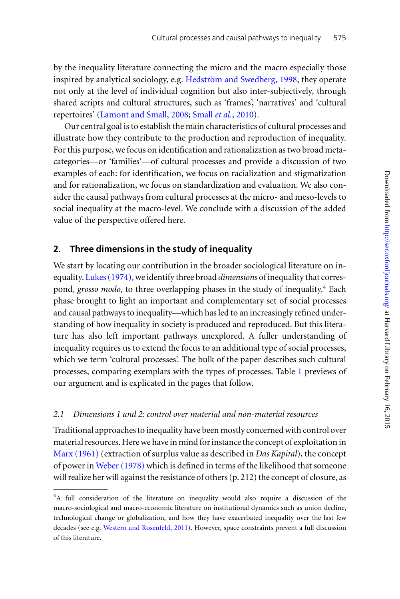by the inequality literature connecting the micro and the macro especially those inspired by analytical sociology, e.g. Hedström and Swedberg, 1998, they operate not only at the level of individual cognition but also inter-subjectively, through shared scripts and cultural structures, such as 'frames', 'narratives' and 'cultural repertoires' ([Lamont and Small, 2008;](#page-31-0) Small et al.[, 2010\)](#page-34-0).

Our central goal is to establish the main characteristics of cultural processes and illustrate how they contribute to the production and reproduction of inequality. For this purpose, we focus on identification and rationalization as two broad metacategories—or 'families'—of cultural processes and provide a discussion of two examples of each: for identification, we focus on racialization and stigmatization and for rationalization, we focus on standardization and evaluation. We also consider the causal pathways from cultural processes at the micro- and meso-levels to social inequality at the macro-level. We conclude with a discussion of the added value of the perspective offered here.

## 2. Three dimensions in the study of inequality

We start by locating our contribution in the broader sociological literature on in-equality. [Lukes \(1974\),](#page-32-0) we identify three broad dimensions of inequality that correspond, grosso modo, to three overlapping phases in the study of inequality.<sup>4</sup> Each phase brought to light an important and complementary set of social processes and causal pathways to inequality—which has led to an increasingly refined understanding of how inequality in society is produced and reproduced. But this literature has also left important pathways unexplored. A fuller understanding of inequality requires us to extend the focus to an additional type of social processes, which we term 'cultural processes'. The bulk of the paper describes such cultural processes, comparing exemplars with the types of processes. Table [1](#page-3-0) previews of our argument and is explicated in the pages that follow.

#### 2.1 Dimensions 1 and 2: control over material and non-material resources

Traditional approaches to inequality have been mostly concerned with control over material resources. Here we have in mind for instance the concept of exploitation in [Marx \(1961\)](#page-32-0) (extraction of surplus value as described in Das Kapital), the concept of power in [Weber \(1978\)](#page-35-0) which is defined in terms of the likelihood that someone will realize her will against the resistance of others (p. 212) the concept of closure, as

<sup>&</sup>lt;sup>4</sup>A full consideration of the literature on inequality would also require a discussion of the macro-sociological and macro-economic literature on institutional dynamics such as union decline, technological change or globalization, and how they have exacerbated inequality over the last few decades (see e.g. [Western and Rosenfeld, 2011\)](#page-35-0). However, space constraints prevent a full discussion of this literature.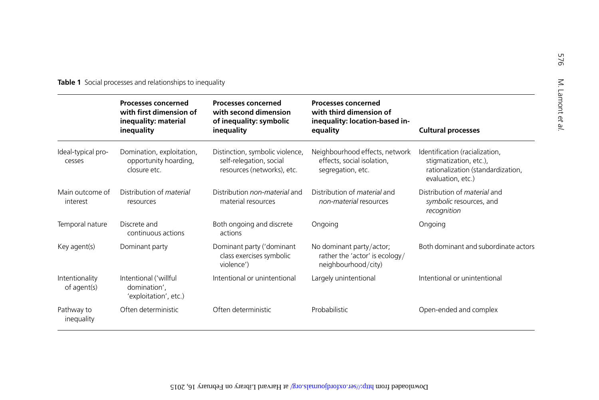<span id="page-3-0"></span>**Table 1** Social processes and relationships to inequality

|                               | <b>Processes concerned</b><br>with first dimension of<br>inequality: material<br>inequality | <b>Processes concerned</b><br>with second dimension<br>of inequality: symbolic<br>inequality | <b>Processes concerned</b><br>with third dimension of<br>inequality: location-based in-<br>equality | <b>Cultural processes</b>                                                                                          |
|-------------------------------|---------------------------------------------------------------------------------------------|----------------------------------------------------------------------------------------------|-----------------------------------------------------------------------------------------------------|--------------------------------------------------------------------------------------------------------------------|
| Ideal-typical pro-<br>cesses  | Domination, exploitation,<br>opportunity hoarding,<br>closure etc.                          | Distinction, symbolic violence,<br>self-relegation, social<br>resources (networks), etc.     | Neighbourhood effects, network<br>effects, social isolation,<br>segregation, etc.                   | Identification (racialization,<br>stigmatization, etc.),<br>rationalization (standardization,<br>evaluation, etc.) |
| Main outcome of<br>interest   | Distribution of <i>material</i><br>resources                                                | Distribution non-material and<br>material resources                                          | Distribution of <i>material</i> and<br>non-material resources                                       | Distribution of <i>material</i> and<br>symbolic resources, and<br>recognition                                      |
| Temporal nature               | Discrete and<br>continuous actions                                                          | Both ongoing and discrete<br>actions                                                         | Ongoing                                                                                             | Ongoing                                                                                                            |
| Key agent(s)                  | Dominant party                                                                              | Dominant party ('dominant<br>class exercises symbolic<br>violence')                          | No dominant party/actor;<br>rather the 'actor' is ecology/<br>neighbourhood/city)                   | Both dominant and subordinate actors                                                                               |
| Intentionality<br>of agent(s) | Intentional ('willful<br>domination',<br>'exploitation', etc.)                              | Intentional or unintentional                                                                 | Largely unintentional                                                                               | Intentional or unintentional                                                                                       |
| Pathway to<br>inequality      | Often deterministic                                                                         | Often deterministic                                                                          | Probabilistic                                                                                       | Open-ended and complex                                                                                             |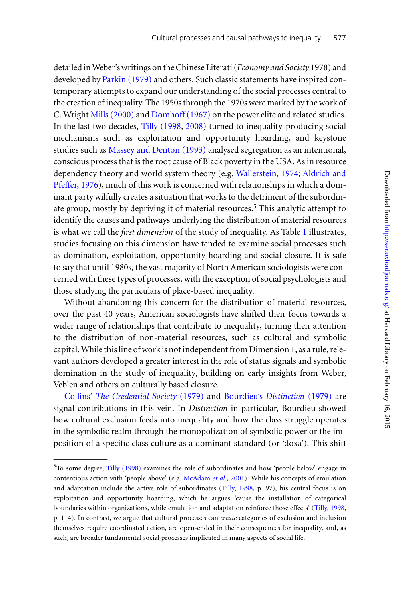detailed in Weber's writings on the Chinese Literati (Economy and Society 1978) and developed by [Parkin \(1979\)](#page-33-0) and others. Such classic statements have inspired contemporary attempts to expand our understanding of the social processes central to the creation of inequality. The 1950s through the 1970s were marked by the work of C. Wright [Mills \(2000\)](#page-32-0) and [Domhoff \(1967\)](#page-29-0) on the power elite and related studies. In the last two decades, [Tilly \(1998](#page-34-0), [2008\)](#page-34-0) turned to inequality-producing social mechanisms such as exploitation and opportunity hoarding, and keystone studies such as [Massey and Denton \(1993\)](#page-32-0) analysed segregation as an intentional, conscious process that is the root cause of Black poverty in the USA. As in resource dependency theory and world system theory (e.g. [Wallerstein, 1974](#page-35-0); [Aldrich and](#page-27-0) [Pfeffer, 1976\)](#page-27-0), much of this work is concerned with relationships in which a dominant party wilfully creates a situation that works to the detriment of the subordinate group, mostly by depriving it of material resources.<sup>5</sup> This analytic attempt to identify the causes and pathways underlying the distribution of material resources is what we call the *first dimension* of the study of inequality. As Table [1](#page-3-0) illustrates, studies focusing on this dimension have tended to examine social processes such as domination, exploitation, opportunity hoarding and social closure. It is safe to say that until 1980s, the vast majority of North American sociologists were concerned with these types of processes, with the exception of social psychologists and those studying the particulars of place-based inequality.

Without abandoning this concern for the distribution of material resources, over the past 40 years, American sociologists have shifted their focus towards a wider range of relationships that contribute to inequality, turning their attention to the distribution of non-material resources, such as cultural and symbolic capital. While this line of work is not independent from Dimension 1, as a rule, relevant authors developed a greater interest in the role of status signals and symbolic domination in the study of inequality, building on early insights from Weber, Veblen and others on culturally based closure.

Collins' [The Credential Society](#page-28-0) (1979) and Bourdieu's [Distinction](#page-27-0) (1979) are signal contributions in this vein. In *Distinction* in particular, Bourdieu showed how cultural exclusion feeds into inequality and how the class struggle operates in the symbolic realm through the monopolization of symbolic power or the imposition of a specific class culture as a dominant standard (or 'doxa'). This shift

<sup>&</sup>lt;sup>5</sup>To some degree, [Tilly \(1998\)](#page-34-0) examines the role of subordinates and how 'people below' engage in contentious action with 'people above' (e.g. [McAdam](#page-32-0) et al., 2001). While his concepts of emulation and adaptation include the active role of subordinates [\(Tilly, 1998,](#page-34-0) p. 97), his central focus is on exploitation and opportunity hoarding, which he argues 'cause the installation of categorical boundaries within organizations, while emulation and adaptation reinforce those effects' ([Tilly, 1998](#page-34-0), p. 114). In contrast, we argue that cultural processes can create categories of exclusion and inclusion themselves require coordinated action, are open-ended in their consequences for inequality, and, as such, are broader fundamental social processes implicated in many aspects of social life.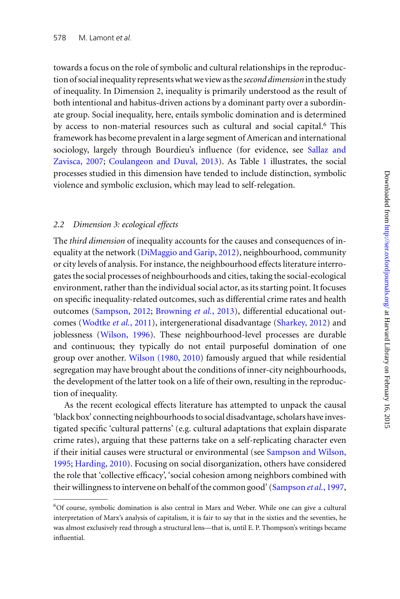towards a focus on the role of symbolic and cultural relationships in the reproduction of social inequality represents what we view as the *second dimension* in the study of inequality. In Dimension 2, inequality is primarily understood as the result of both intentional and habitus-driven actions by a dominant party over a subordinate group. Social inequality, here, entails symbolic domination and is determined by access to non-material resources such as cultural and social capital.<sup>6</sup> This framework has become prevalent in a large segment of American and international sociology, largely through Bourdieu's influence (for evidence, see [Sallaz and](#page-33-0) [Zavisca, 2007](#page-33-0); [Coulangeon and Duval, 2013\)](#page-28-0). As Table [1](#page-3-0) illustrates, the social processes studied in this dimension have tended to include distinction, symbolic violence and symbolic exclusion, which may lead to self-relegation.

#### 2.2 Dimension 3: ecological effects

The third dimension of inequality accounts for the causes and consequences of in-equality at the network ([DiMaggio and Garip, 2012](#page-29-0)), neighbourhood, community or city levels of analysis. For instance, the neighbourhood effects literature interrogates the social processes of neighbourhoods and cities, taking the social-ecological environment, rather than the individual social actor, as its starting point. It focuses on specific inequality-related outcomes, such as differential crime rates and health outcomes [\(Sampson, 2012;](#page-33-0) [Browning](#page-28-0) et al., 2013), differential educational out-comes ([Wodtke](#page-35-0) et al., 2011), intergenerational disadvantage [\(Sharkey, 2012\)](#page-34-0) and joblessness ([Wilson, 1996\)](#page-35-0). These neighbourhood-level processes are durable and continuous; they typically do not entail purposeful domination of one group over another. [Wilson \(1980,](#page-35-0) [2010](#page-35-0)) famously argued that while residential segregation may have brought about the conditions of inner-city neighbourhoods, the development of the latter took on a life of their own, resulting in the reproduction of inequality.

As the recent ecological effects literature has attempted to unpack the causal 'black box' connecting neighbourhoods to social disadvantage, scholars have investigated specific 'cultural patterns' (e.g. cultural adaptations that explain disparate crime rates), arguing that these patterns take on a self-replicating character even if their initial causes were structural or environmental (see [Sampson and Wilson,](#page-33-0) [1995](#page-33-0); [Harding, 2010](#page-30-0)). Focusing on social disorganization, others have considered the role that 'collective efficacy', 'social cohesion among neighbors combined with their willingness to intervene on behalf of the common good' [\(Sampson](#page-33-0) et al., 1997,

<sup>&</sup>lt;sup>6</sup>Of course, symbolic domination is also central in Marx and Weber. While one can give a cultural interpretation of Marx's analysis of capitalism, it is fair to say that in the sixties and the seventies, he was almost exclusively read through a structural lens—that is, until E. P. Thompson's writings became influential.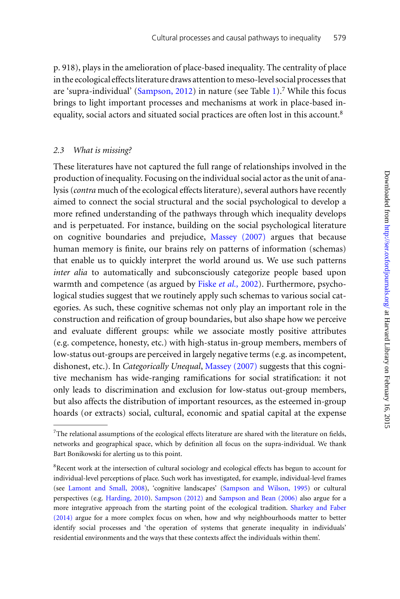p. 918), plays in the amelioration of place-based inequality. The centrality of place in the ecological effects literature draws attention to meso-level social processes that are 'supra-individual' [\(Sampson, 2012](#page-33-0)) in nature (see Table [1\)](#page-3-0).<sup>7</sup> While this focus brings to light important processes and mechanisms at work in place-based inequality, social actors and situated social practices are often lost in this account.<sup>8</sup>

#### 2.3 What is missing?

These literatures have not captured the full range of relationships involved in the production of inequality. Focusing on the individual social actor as the unit of analysis (*contra* much of the ecological effects literature), several authors have recently aimed to connect the social structural and the social psychological to develop a more refined understanding of the pathways through which inequality develops and is perpetuated. For instance, building on the social psychological literature on cognitive boundaries and prejudice, [Massey \(2007\)](#page-32-0) argues that because human memory is finite, our brains rely on patterns of information (schemas) that enable us to quickly interpret the world around us. We use such patterns inter alia to automatically and subconsciously categorize people based upon warmth and competence (as argued by Fiske [et al.,](#page-29-0) 2002). Furthermore, psychological studies suggest that we routinely apply such schemas to various social categories. As such, these cognitive schemas not only play an important role in the construction and reification of group boundaries, but also shape how we perceive and evaluate different groups: while we associate mostly positive attributes (e.g. competence, honesty, etc.) with high-status in-group members, members of low-status out-groups are perceived in largely negative terms (e.g. as incompetent, dishonest, etc.). In Categorically Unequal, [Massey \(2007\)](#page-32-0) suggests that this cognitive mechanism has wide-ranging ramifications for social stratification: it not only leads to discrimination and exclusion for low-status out-group members, but also affects the distribution of important resources, as the esteemed in-group hoards (or extracts) social, cultural, economic and spatial capital at the expense

 $7$ The relational assumptions of the ecological effects literature are shared with the literature on fields, networks and geographical space, which by definition all focus on the supra-individual. We thank Bart Bonikowski for alerting us to this point.

<sup>&</sup>lt;sup>8</sup>Recent work at the intersection of cultural sociology and ecological effects has begun to account for individual-level perceptions of place. Such work has investigated, for example, individual-level frames (see [Lamont and Small, 2008\)](#page-31-0), 'cognitive landscapes' ([Sampson and Wilson, 1995](#page-33-0)) or cultural perspectives (e.g. [Harding, 2010\)](#page-30-0). [Sampson \(2012\)](#page-33-0) and [Sampson and Bean \(2006\)](#page-33-0) also argue for a more integrative approach from the starting point of the ecological tradition. [Sharkey and Faber](#page-34-0) [\(2014\)](#page-34-0) argue for a more complex focus on when, how and why neighbourhoods matter to better identify social processes and 'the operation of systems that generate inequality in individuals' residential environments and the ways that these contexts affect the individuals within them'.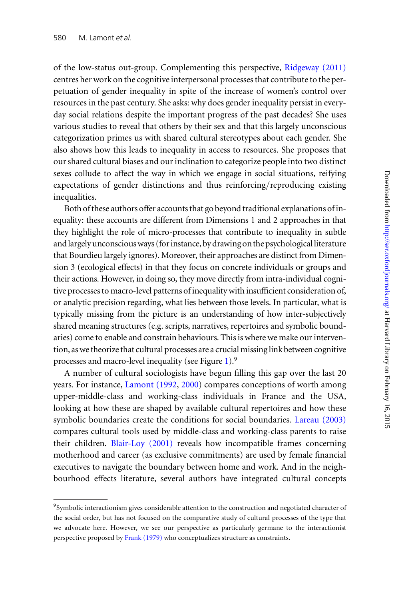of the low-status out-group. Complementing this perspective, [Ridgeway \(2011\)](#page-33-0) centres her work on the cognitive interpersonal processes that contribute to the perpetuation of gender inequality in spite of the increase of women's control over resources in the past century. She asks: why does gender inequality persist in everyday social relations despite the important progress of the past decades? She uses various studies to reveal that others by their sex and that this largely unconscious categorization primes us with shared cultural stereotypes about each gender. She also shows how this leads to inequality in access to resources. She proposes that our shared cultural biases and our inclination to categorize people into two distinct sexes collude to affect the way in which we engage in social situations, reifying expectations of gender distinctions and thus reinforcing/reproducing existing inequalities.

Both of these authors offer accounts that go beyond traditional explanations of inequality: these accounts are different from Dimensions 1 and 2 approaches in that they highlight the role of micro-processes that contribute to inequality in subtle and largely unconscious ways (for instance, by drawing on the psychological literature that Bourdieu largely ignores). Moreover, their approaches are distinct from Dimension 3 (ecological effects) in that they focus on concrete individuals or groups and their actions. However, in doing so, they move directly from intra-individual cognitive processes to macro-level patterns of inequality with insufficient consideration of, or analytic precision regarding, what lies between those levels. In particular, what is typically missing from the picture is an understanding of how inter-subjectively shared meaning structures (e.g. scripts, narratives, repertoires and symbolic boundaries) come to enable and constrain behaviours. This is where we make our intervention, as we theorize that cultural processes are a crucial missing link between cognitive processes and macro-level inequality (see Figure [1](#page-8-0)).9

A number of cultural sociologists have begun filling this gap over the last 20 years. For instance, [Lamont \(1992,](#page-31-0) [2000\)](#page-31-0) compares conceptions of worth among upper-middle-class and working-class individuals in France and the USA, looking at how these are shaped by available cultural repertoires and how these symbolic boundaries create the conditions for social boundaries. [Lareau \(2003\)](#page-31-0) compares cultural tools used by middle-class and working-class parents to raise their children. [Blair-Loy \(2001\)](#page-27-0) reveals how incompatible frames concerning motherhood and career (as exclusive commitments) are used by female financial executives to navigate the boundary between home and work. And in the neighbourhood effects literature, several authors have integrated cultural concepts

<sup>&</sup>lt;sup>9</sup>Symbolic interactionism gives considerable attention to the construction and negotiated character of the social order, but has not focused on the comparative study of cultural processes of the type that we advocate here. However, we see our perspective as particularly germane to the interactionist perspective proposed by [Frank \(1979\)](#page-30-0) who conceptualizes structure as constraints.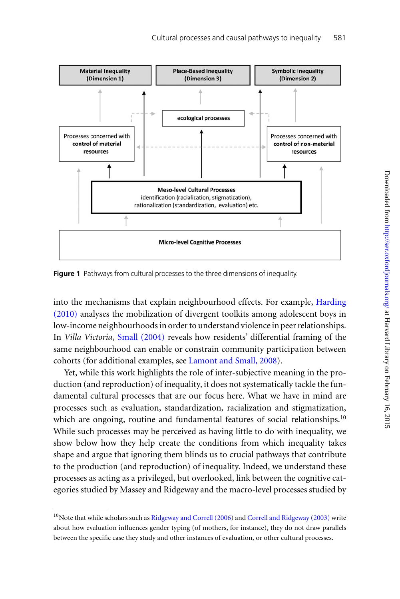<span id="page-8-0"></span>

Figure 1 Pathways from cultural processes to the three dimensions of inequality.

into the mechanisms that explain neighbourhood effects. For example, [Harding](#page-30-0) [\(2010\)](#page-30-0) analyses the mobilization of divergent toolkits among adolescent boys in low-income neighbourhoods in order to understand violence in peer relationships. In Villa Victoria, [Small \(2004\)](#page-34-0) reveals how residents' differential framing of the same neighbourhood can enable or constrain community participation between cohorts (for additional examples, see [Lamont and Small, 2008](#page-31-0)).

Yet, while this work highlights the role of inter-subjective meaning in the production (and reproduction) of inequality, it does not systematically tackle the fundamental cultural processes that are our focus here. What we have in mind are processes such as evaluation, standardization, racialization and stigmatization, which are ongoing, routine and fundamental features of social relationships.<sup>10</sup> While such processes may be perceived as having little to do with inequality, we show below how they help create the conditions from which inequality takes shape and argue that ignoring them blinds us to crucial pathways that contribute to the production (and reproduction) of inequality. Indeed, we understand these processes as acting as a privileged, but overlooked, link between the cognitive categories studied by Massey and Ridgeway and the macro-level processes studied by

<sup>&</sup>lt;sup>10</sup>Note that while scholars such as [Ridgeway and Correll \(2006\)](#page-33-0) and [Correll and Ridgeway \(2003\)](#page-28-0) write about how evaluation influences gender typing (of mothers, for instance), they do not draw parallels between the specific case they study and other instances of evaluation, or other cultural processes.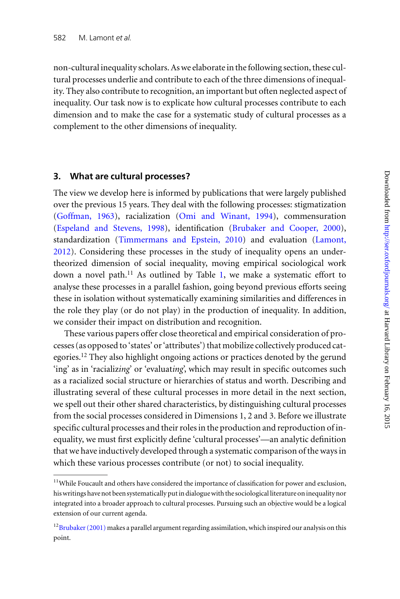non-cultural inequality scholars. As we elaborate in thefollowing section, these cultural processes underlie and contribute to each of the three dimensions of inequality. They also contribute to recognition, an important but often neglected aspect of inequality. Our task now is to explicate how cultural processes contribute to each dimension and to make the case for a systematic study of cultural processes as a complement to the other dimensions of inequality.

## 3. What are cultural processes?

The view we develop here is informed by publications that were largely published over the previous 15 years. They deal with the following processes: stigmatization ([Goffman, 1963\)](#page-30-0), racialization [\(Omi and Winant, 1994](#page-32-0)), commensuration ([Espeland and Stevens, 1998](#page-29-0)), identification ([Brubaker and Cooper, 2000\)](#page-28-0), standardization ([Timmermans and Epstein, 2010](#page-34-0)) and evaluation [\(Lamont,](#page-31-0) [2012](#page-31-0)). Considering these processes in the study of inequality opens an undertheorized dimension of social inequality, moving empirical sociological work down a novel path.<sup>[1](#page-3-0)1</sup> As outlined by Table 1, we make a systematic effort to analyse these processes in a parallel fashion, going beyond previous efforts seeing these in isolation without systematically examining similarities and differences in the role they play (or do not play) in the production of inequality. In addition, we consider their impact on distribution and recognition.

These various papers offer close theoretical and empirical consideration of processes (as opposed to 'states' or 'attributes') that mobilize collectively produced categories.<sup>12</sup> They also highlight ongoing actions or practices denoted by the gerund 'ing' as in 'racializing' or 'evaluating', which may result in specific outcomes such as a racialized social structure or hierarchies of status and worth. Describing and illustrating several of these cultural processes in more detail in the next section, we spell out their other shared characteristics, by distinguishing cultural processes from the social processes considered in Dimensions 1, 2 and 3. Before we illustrate specific cultural processes and their roles in the production and reproduction of inequality, we must first explicitly define 'cultural processes'—an analytic definition that we have inductively developed through a systematic comparison of the ways in which these various processes contribute (or not) to social inequality.

<sup>&</sup>lt;sup>11</sup>While Foucault and others have considered the importance of classification for power and exclusion, hiswritings have not been systematically putin dialoguewith the sociological literature on inequality nor integrated into a broader approach to cultural processes. Pursuing such an objective would be a logical extension of our current agenda.

 $^{12}$ [Brubaker \(2001\)](#page-28-0) makes a parallel argument regarding assimilation, which inspired our analysis on this point.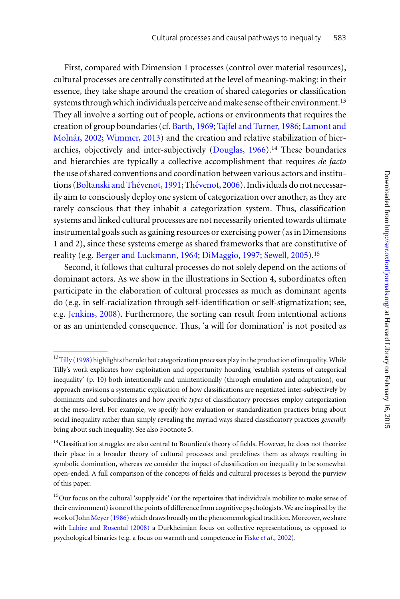First, compared with Dimension 1 processes (control over material resources), cultural processes are centrally constituted at the level of meaning-making: in their essence, they take shape around the creation of shared categories or classification systems through which individuals perceive and make sense of their environment.<sup>13</sup> They all involve a sorting out of people, actions or environments that requires the creation of group boundaries (cf. [Barth, 1969](#page-27-0); [Tajfel and Turner, 1986;](#page-34-0) [Lamont and](#page-31-0) Molnár, 2002; [Wimmer, 2013\)](#page-35-0) and the creation and relative stabilization of hier-archies, objectively and inter-subjectively ([Douglas, 1966](#page-29-0)).<sup>14</sup> These boundaries and hierarchies are typically a collective accomplishment that requires de facto the use of shared conventions and coordination between various actors and institutions (Boltanski and Thévenot, 1991; Thévenot, 2006). Individuals do not necessarily aim to consciously deploy one system of categorization over another, as they are rarely conscious that they inhabit a categorization system. Thus, classification systems and linked cultural processes are not necessarily oriented towards ultimate instrumental goals such as gaining resources or exercising power (as in Dimensions 1 and 2), since these systems emerge as shared frameworks that are constitutive of reality (e.g. [Berger and Luckmann, 1964;](#page-27-0) [DiMaggio, 1997;](#page-29-0) [Sewell, 2005](#page-34-0)).15

Second, it follows that cultural processes do not solely depend on the actions of dominant actors. As we show in the illustrations in Section 4, subordinates often participate in the elaboration of cultural processes as much as dominant agents do (e.g. in self-racialization through self-identification or self-stigmatization; see, e.g. [Jenkins, 2008](#page-31-0)). Furthermore, the sorting can result from intentional actions or as an unintended consequence. Thus, 'a will for domination' is not posited as

 $^{13}$ [Tilly \(1998\)](#page-34-0) highlights the role that categorization processes play in the production of inequality. While Tilly's work explicates how exploitation and opportunity hoarding 'establish systems of categorical inequality' (p. 10) both intentionally and unintentionally (through emulation and adaptation), our approach envisions a systematic explication of how classifications are negotiated inter-subjectively by dominants and subordinates and how *specific types* of classificatory processes employ categorization at the meso-level. For example, we specify how evaluation or standardization practices bring about social inequality rather than simply revealing the myriad ways shared classificatory practices generally bring about such inequality. See also Footnote 5.

 $14$ Classification struggles are also central to Bourdieu's theory of fields. However, he does not theorize their place in a broader theory of cultural processes and predefines them as always resulting in symbolic domination, whereas we consider the impact of classification on inequality to be somewhat open-ended. A full comparison of the concepts of fields and cultural processes is beyond the purview of this paper.

<sup>&</sup>lt;sup>15</sup>Our focus on the cultural 'supply side' (or the repertoires that individuals mobilize to make sense of their environment) is one of the points of difference from cognitive psychologists.We are inspired by the work of John [Meyer \(1986\)](#page-32-0) which draws broadly on the phenomenological tradition. Moreover, we share with [Lahire and Rosental \(2008\)](#page-31-0) a Durkheimian focus on collective representations, as opposed to psychological binaries (e.g. a focus on warmth and competence in Fiske et al[., 2002](#page-29-0)).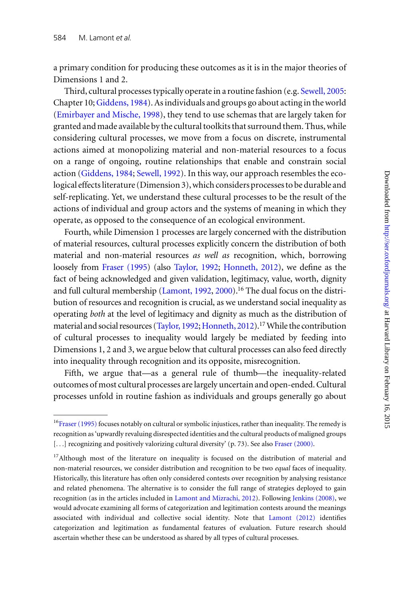a primary condition for producing these outcomes as it is in the major theories of Dimensions 1 and 2.

Third, cultural processes typically operate in a routine fashion (e.g. [Sewell, 2005:](#page-34-0) Chapter 10;[Giddens, 1984](#page-30-0)). As individuals and groups go about acting in the world ([Emirbayer and Mische, 1998\)](#page-29-0), they tend to use schemas that are largely taken for granted and made available by the cultural toolkits that surround them. Thus, while considering cultural processes, we move from a focus on discrete, instrumental actions aimed at monopolizing material and non-material resources to a focus on a range of ongoing, routine relationships that enable and constrain social action ([Giddens, 1984;](#page-30-0) [Sewell, 1992\)](#page-34-0). In this way, our approach resembles the ecological effects literature (Dimension 3), which considers processes to be durable and self-replicating. Yet, we understand these cultural processes to be the result of the actions of individual and group actors and the systems of meaning in which they operate, as opposed to the consequence of an ecological environment.

Fourth, while Dimension 1 processes are largely concerned with the distribution of material resources, cultural processes explicitly concern the distribution of both material and non-material resources as well as recognition, which, borrowing loosely from [Fraser \(1995\)](#page-30-0) (also [Taylor, 1992](#page-34-0); [Honneth, 2012\)](#page-31-0), we define as the fact of being acknowledged and given validation, legitimacy, value, worth, dignity and full cultural membership [\(Lamont, 1992,](#page-31-0) [2000](#page-31-0)).<sup>16</sup> The dual focus on the distribution of resources and recognition is crucial, as we understand social inequality as operating both at the level of legitimacy and dignity as much as the distribution of material and social resources [\(Taylor, 1992;](#page-34-0) [Honneth, 2012](#page-31-0)).<sup>17</sup> While the contribution of cultural processes to inequality would largely be mediated by feeding into Dimensions 1, 2 and 3, we argue below that cultural processes can also feed directly into inequality through recognition and its opposite, misrecognition.

Fifth, we argue that—as a general rule of thumb—the inequality-related outcomes of most cultural processes are largely uncertain and open-ended. Cultural processes unfold in routine fashion as individuals and groups generally go about

<sup>&</sup>lt;sup>16</sup>[Fraser \(1995\)](#page-30-0) focuses notably on cultural or symbolic injustices, rather than inequality. The remedy is recognition as 'upwardly revaluing disrespected identities and the cultural products of maligned groups [...] recognizing and positively valorizing cultural diversity' (p. 73). See also [Fraser \(2000\)](#page-30-0).

<sup>&</sup>lt;sup>17</sup>Although most of the literature on inequality is focused on the distribution of material and non-material resources, we consider distribution and recognition to be two equal faces of inequality. Historically, this literature has often only considered contests over recognition by analysing resistance and related phenomena. The alternative is to consider the full range of strategies deployed to gain recognition (as in the articles included in [Lamont and Mizrachi, 2012\)](#page-31-0). Following [Jenkins \(2008\)](#page-31-0), we would advocate examining all forms of categorization and legitimation contests around the meanings associated with individual and collective social identity. Note that [Lamont \(2012\)](#page-31-0) identifies categorization and legitimation as fundamental features of evaluation. Future research should ascertain whether these can be understood as shared by all types of cultural processes.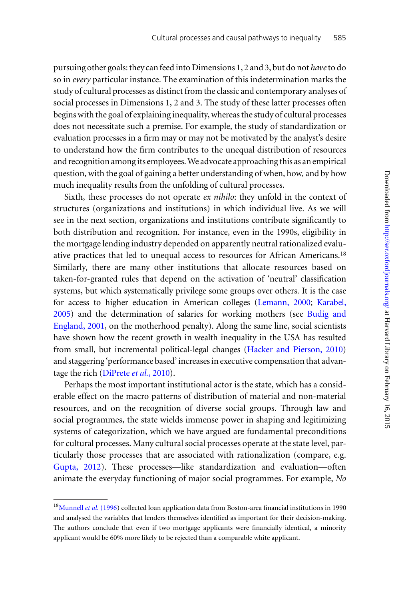pursuing other goals: they can feed into Dimensions 1, 2 and 3, but do not have to do so in *every* particular instance. The examination of this indetermination marks the study of cultural processes as distinct from the classic and contemporary analyses of social processes in Dimensions 1, 2 and 3. The study of these latter processes often begins with the goal of explaining inequality, whereas the study of cultural processes does not necessitate such a premise. For example, the study of standardization or evaluation processes in a firm may or may not be motivated by the analyst's desire to understand how the firm contributes to the unequal distribution of resources and recognition among its employees.We advocate approaching this as an empirical question, with the goal of gaining a better understanding of when, how, and by how much inequality results from the unfolding of cultural processes.

Sixth, these processes do not operate ex nihilo: they unfold in the context of structures (organizations and institutions) in which individual live. As we will see in the next section, organizations and institutions contribute significantly to both distribution and recognition. For instance, even in the 1990s, eligibility in the mortgage lending industry depended on apparently neutral rationalized evaluative practices that led to unequal access to resources for African Americans.<sup>18</sup> Similarly, there are many other institutions that allocate resources based on taken-for-granted rules that depend on the activation of 'neutral' classification systems, but which systematically privilege some groups over others. It is the case for access to higher education in American colleges [\(Lemann, 2000;](#page-31-0) [Karabel,](#page-31-0) [2005\)](#page-31-0) and the determination of salaries for working mothers (see [Budig and](#page-28-0) [England, 2001,](#page-28-0) on the motherhood penalty). Along the same line, social scientists have shown how the recent growth in wealth inequality in the USA has resulted from small, but incremental political-legal changes [\(Hacker and Pierson, 2010](#page-30-0)) and staggering 'performance based' increases in executive compensation that advan-tage the rich [\(DiPrete](#page-29-0) et al., 2010).

Perhaps the most important institutional actor is the state, which has a considerable effect on the macro patterns of distribution of material and non-material resources, and on the recognition of diverse social groups. Through law and social programmes, the state wields immense power in shaping and legitimizing systems of categorization, which we have argued are fundamental preconditions for cultural processes. Many cultural social processes operate at the state level, particularly those processes that are associated with rationalization (compare, e.g. [Gupta, 2012\)](#page-30-0). These processes—like standardization and evaluation—often animate the everyday functioning of major social programmes. For example, No

<sup>&</sup>lt;sup>18</sup>[Munnell](#page-32-0) et al. (1996) collected loan application data from Boston-area financial institutions in 1990 and analysed the variables that lenders themselves identified as important for their decision-making. The authors conclude that even if two mortgage applicants were financially identical, a minority applicant would be 60% more likely to be rejected than a comparable white applicant.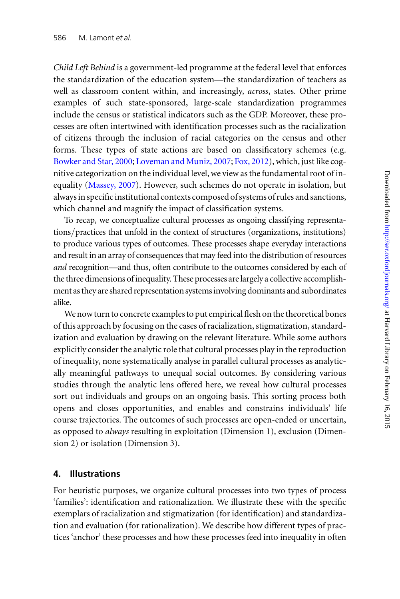Child Left Behind is a government-led programme at the federal level that enforces the standardization of the education system—the standardization of teachers as well as classroom content within, and increasingly, *across*, states. Other prime examples of such state-sponsored, large-scale standardization programmes include the census or statistical indicators such as the GDP. Moreover, these processes are often intertwined with identification processes such as the racialization of citizens through the inclusion of racial categories on the census and other forms. These types of state actions are based on classificatory schemes (e.g. [Bowker and Star, 2000](#page-28-0); [Loveman and Muniz, 2007;](#page-32-0) [Fox, 2012](#page-29-0)), which, just like cognitive categorization on the individual level, we view as the fundamental root of inequality ([Massey, 2007](#page-32-0)). However, such schemes do not operate in isolation, but always in specific institutional contexts composed of systems of rules and sanctions, which channel and magnify the impact of classification systems.

To recap, we conceptualize cultural processes as ongoing classifying representations/practices that unfold in the context of structures (organizations, institutions) to produce various types of outcomes. These processes shape everyday interactions and result in an array of consequences that may feed into the distribution of resources and recognition—and thus, often contribute to the outcomes considered by each of the three dimensions of inequality. These processes are largely a collective accomplishment as they are shared representation systemsinvolving dominants and subordinates alike.

We now turn to concrete examples to put empirical flesh on the theoretical bones of this approach by focusing on the cases of racialization, stigmatization, standardization and evaluation by drawing on the relevant literature. While some authors explicitly consider the analytic role that cultural processes play in the reproduction of inequality, none systematically analyse in parallel cultural processes as analytically meaningful pathways to unequal social outcomes. By considering various studies through the analytic lens offered here, we reveal how cultural processes sort out individuals and groups on an ongoing basis. This sorting process both opens and closes opportunities, and enables and constrains individuals' life course trajectories. The outcomes of such processes are open-ended or uncertain, as opposed to *always* resulting in exploitation (Dimension 1), exclusion (Dimension 2) or isolation (Dimension 3).

## 4. Illustrations

For heuristic purposes, we organize cultural processes into two types of process 'families': identification and rationalization. We illustrate these with the specific exemplars of racialization and stigmatization (for identification) and standardization and evaluation (for rationalization). We describe how different types of practices 'anchor' these processes and how these processes feed into inequality in often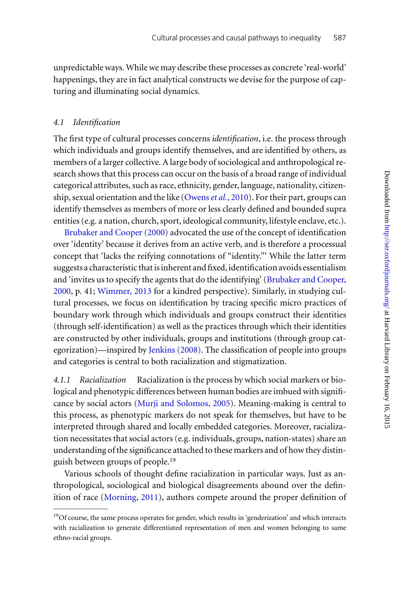unpredictable ways. While we may describe these processes as concrete 'real-world' happenings, they are in fact analytical constructs we devise for the purpose of capturing and illuminating social dynamics.

#### 4.1 Identification

The first type of cultural processes concerns *identification*, *i.e.* the process through which individuals and groups identify themselves, and are identified by others, as members of a larger collective. A large body of sociological and anthropological research shows that this process can occur on the basis of a broad range of individual categorical attributes, such as race, ethnicity, gender, language, nationality, citizen-ship, sexual orientation and the like [\(Owens](#page-33-0) *et al.*, 2010). For their part, groups can identify themselves as members of more or less clearly defined and bounded supra entities (e.g. a nation, church, sport, ideological community, lifestyle enclave, etc.).

[Brubaker and Cooper \(2000\)](#page-28-0) advocated the use of the concept of identification over 'identity' because it derives from an active verb, and is therefore a processual concept that 'lacks the reifying connotations of "identity."' While the latter term suggests a characteristic that is inherent and fixed, identification avoids essentialism and 'invites us to specify the agents that do the identifying' [\(Brubaker and Cooper,](#page-28-0) [2000](#page-28-0), p. 41; [Wimmer, 2013](#page-35-0) for a kindred perspective). Similarly, in studying cultural processes, we focus on identification by tracing specific micro practices of boundary work through which individuals and groups construct their identities (through self-identification) as well as the practices through which their identities are constructed by other individuals, groups and institutions (through group cat-egorization)—inspired by [Jenkins \(2008\).](#page-31-0) The classification of people into groups and categories is central to both racialization and stigmatization.

4.1.1 Racialization Racialization is the process by which social markers or biological and phenotypic differences between human bodies are imbued with significance by social actors [\(Murji and Solomos, 2005\)](#page-32-0). Meaning-making is central to this process, as phenotypic markers do not speak for themselves, but have to be interpreted through shared and locally embedded categories. Moreover, racialization necessitates that social actors (e.g. individuals, groups, nation-states) share an understanding of the significance attached to these markers and of how they distinguish between groups of people.19

Various schools of thought define racialization in particular ways. Just as anthropological, sociological and biological disagreements abound over the definition of race ([Morning, 2011](#page-32-0)), authors compete around the proper definition of

<sup>&</sup>lt;sup>19</sup>Of course, the same process operates for gender, which results in 'genderization' and which interacts with racialization to generate differentiated representation of men and women belonging to same ethno-racial groups.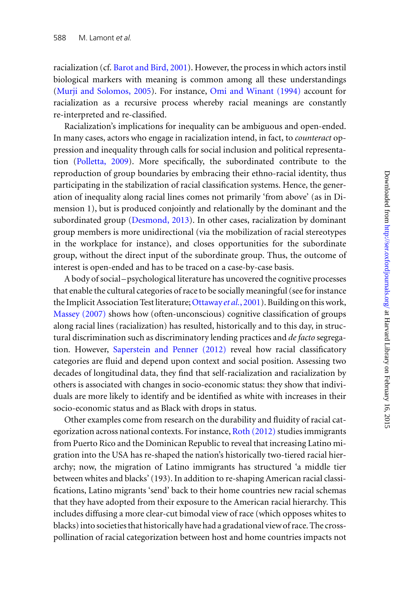racialization (cf. [Barot and Bird, 2001](#page-27-0)). However, the process in which actors instil biological markers with meaning is common among all these understandings ([Murji and Solomos, 2005](#page-32-0)). For instance, [Omi and Winant \(1994\)](#page-32-0) account for racialization as a recursive process whereby racial meanings are constantly re-interpreted and re-classified.

Racialization's implications for inequality can be ambiguous and open-ended. In many cases, actors who engage in racialization intend, in fact, to counteract oppression and inequality through calls for social inclusion and political representation ([Polletta, 2009](#page-33-0)). More specifically, the subordinated contribute to the reproduction of group boundaries by embracing their ethno-racial identity, thus participating in the stabilization of racial classification systems. Hence, the generation of inequality along racial lines comes not primarily 'from above' (as in Dimension 1), but is produced conjointly and relationally by the dominant and the subordinated group ([Desmond, 2013](#page-29-0)). In other cases, racialization by dominant group members is more unidirectional (via the mobilization of racial stereotypes in the workplace for instance), and closes opportunities for the subordinate group, without the direct input of the subordinate group. Thus, the outcome of interest is open-ended and has to be traced on a case-by-case basis.

A body of social –psychological literature has uncovered the cognitive processes that enable the cultural categories of race to be socially meaningful (see for instance the Implicit Association Test literature; [Ottaway](#page-33-0) et al., 2001). Building on this work, [Massey \(2007\)](#page-32-0) shows how (often-unconscious) cognitive classification of groups along racial lines (racialization) has resulted, historically and to this day, in structural discrimination such as discriminatory lending practices and de facto segrega-tion. However, [Saperstein and Penner \(2012\)](#page-33-0) reveal how racial classificatory categories are fluid and depend upon context and social position. Assessing two decades of longitudinal data, they find that self-racialization and racialization by others is associated with changes in socio-economic status: they show that individuals are more likely to identify and be identified as white with increases in their socio-economic status and as Black with drops in status.

Other examples come from research on the durability and fluidity of racial categorization across national contexts. For instance,  $Roth(2012)$  studies immigrants from Puerto Rico and the Dominican Republic to reveal that increasing Latino migration into the USA has re-shaped the nation's historically two-tiered racial hierarchy; now, the migration of Latino immigrants has structured 'a middle tier between whites and blacks' (193). In addition to re-shaping American racial classifications, Latino migrants 'send' back to their home countries new racial schemas that they have adopted from their exposure to the American racial hierarchy. This includes diffusing a more clear-cut bimodal view of race (which opposes whites to blacks) into societies that historically have had a gradational view of race. The crosspollination of racial categorization between host and home countries impacts not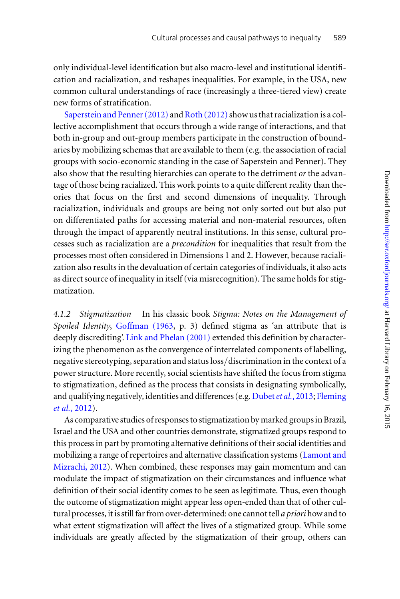only individual-level identification but also macro-level and institutional identification and racialization, and reshapes inequalities. For example, in the USA, new common cultural understandings of race (increasingly a three-tiered view) create new forms of stratification.

[Saperstein and Penner \(2012\)](#page-33-0) and [Roth \(2012\)](#page-33-0) show us that racialization is a collective accomplishment that occurs through a wide range of interactions, and that both in-group and out-group members participate in the construction of boundaries by mobilizing schemas that are available to them (e.g. the association of racial groups with socio-economic standing in the case of Saperstein and Penner). They also show that the resulting hierarchies can operate to the detriment or the advantage of those being racialized. This work points to a quite different reality than theories that focus on the first and second dimensions of inequality. Through racialization, individuals and groups are being not only sorted out but also put on differentiated paths for accessing material and non-material resources, often through the impact of apparently neutral institutions. In this sense, cultural processes such as racialization are a precondition for inequalities that result from the processes most often considered in Dimensions 1 and 2. However, because racialization also results in the devaluation of certain categories of individuals, it also acts as direct source of inequality in itself (via misrecognition). The same holds for stigmatization.

4.1.2 Stigmatization In his classic book Stigma: Notes on the Management of Spoiled Identity, [Goffman \(1963,](#page-30-0) p. 3) defined stigma as 'an attribute that is deeply discrediting'. [Link and Phelan \(2001\)](#page-31-0) extended this definition by characterizing the phenomenon as the convergence of interrelated components of labelling, negative stereotyping, separation and status loss/discrimination in the context of a power structure. More recently, social scientists have shifted the focus from stigma to stigmatization, defined as the process that consists in designating symbolically, and qualifying negatively, identities and differences (e.g. [Dubet](#page-29-0) et al., 2013; [Fleming](#page-29-0) et al.[, 2012\)](#page-29-0).

As comparative studies of responses to stigmatization by marked groups in Brazil, Israel and the USA and other countries demonstrate, stigmatized groups respond to this process in part by promoting alternative definitions of their social identities and mobilizing a range of repertoires and alternative classification systems [\(Lamont and](#page-31-0) [Mizrachi, 2012](#page-31-0)). When combined, these responses may gain momentum and can modulate the impact of stigmatization on their circumstances and influence what definition of their social identity comes to be seen as legitimate. Thus, even though the outcome of stigmatization might appear less open-ended than that of other cultural processes, it is still far from over-determined: one cannot tell a priori how and to what extent stigmatization will affect the lives of a stigmatized group. While some individuals are greatly affected by the stigmatization of their group, others can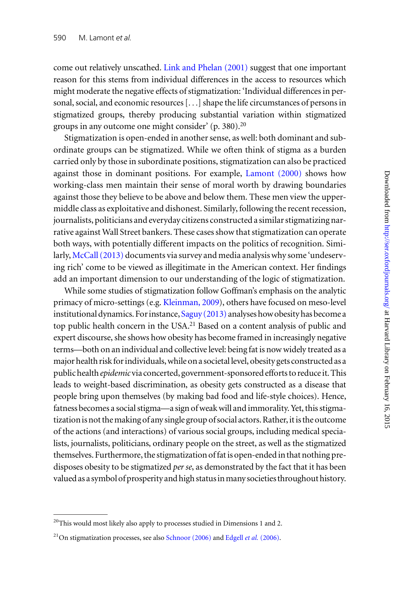come out relatively unscathed. [Link and Phelan \(2001\)](#page-31-0) suggest that one important reason for this stems from individual differences in the access to resources which might moderate the negative effects of stigmatization: 'Individual differences in personal, social, and economic resources [...] shape the life circumstances of persons in stigmatized groups, thereby producing substantial variation within stigmatized groups in any outcome one might consider'  $(p. 380).^{20}$ 

Stigmatization is open-ended in another sense, as well: both dominant and subordinate groups can be stigmatized. While we often think of stigma as a burden carried only by those in subordinate positions, stigmatization can also be practiced against those in dominant positions. For example, [Lamont \(2000\)](#page-31-0) shows how working-class men maintain their sense of moral worth by drawing boundaries against those they believe to be above and below them. These men view the uppermiddle class as exploitative and dishonest. Similarly, following the recent recession, journalists, politicians and everyday citizens constructed a similar stigmatizing narrative against Wall Street bankers. These cases show that stigmatization can operate both ways, with potentially different impacts on the politics of recognition. Simi-larly, [McCall \(2013\)](#page-32-0) documents via survey and media analysis why some 'undeserving rich' come to be viewed as illegitimate in the American context. Her findings add an important dimension to our understanding of the logic of stigmatization.

While some studies of stigmatization follow Goffman's emphasis on the analytic primacy of micro-settings (e.g. [Kleinman, 2009](#page-31-0)), others have focused on meso-level institutional dynamics. For instance, [Saguy \(2013\)](#page-33-0) analyses how obesity has become a top public health concern in the USA.<sup>21</sup> Based on a content analysis of public and expert discourse, she shows how obesity has become framed in increasingly negative terms—both on an individual and collective level: being fat is now widely treated as a major health risk for individuals, while on a societal level, obesity gets constructed as a public health *epidemic* via concerted, government-sponsored efforts to reduce it. This leads to weight-based discrimination, as obesity gets constructed as a disease that people bring upon themselves (by making bad food and life-style choices). Hence, fatness becomes a social stigma—a sign of weak will and immorality. Yet, this stigmatization is not the making of any single group of social actors. Rather, it is the outcome of the actions (and interactions) of various social groups, including medical specialists, journalists, politicians, ordinary people on the street, as well as the stigmatized themselves. Furthermore, the stigmatization offat is open-endedin that nothing predisposes obesity to be stigmatized per se, as demonstrated by the fact that it has been valued as a symbol of prosperity and high statusinmany societies throughout history.

 $\rm ^{20}This$  would most likely also apply to processes studied in Dimensions 1 and 2.

<sup>&</sup>lt;sup>21</sup>On stigmatization processes, see also [Schnoor \(2006\)](#page-34-0) and Edgell et al. [\(2006\)](#page-29-0).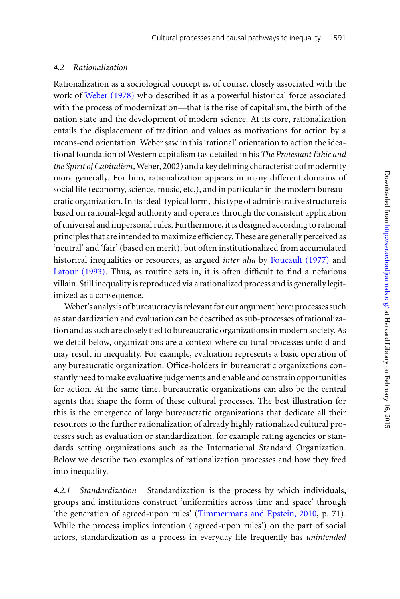#### 4.2 Rationalization

Rationalization as a sociological concept is, of course, closely associated with the work of [Weber \(1978\)](#page-35-0) who described it as a powerful historical force associated with the process of modernization—that is the rise of capitalism, the birth of the nation state and the development of modern science. At its core, rationalization entails the displacement of tradition and values as motivations for action by a means-end orientation. Weber saw in this 'rational' orientation to action the ideational foundation of Western capitalism (as detailed in his The Protestant Ethic and the Spirit of Capitalism, Weber, 2002) and a key defining characteristic of modernity more generally. For him, rationalization appears in many different domains of social life (economy, science, music, etc.), and in particular in the modern bureaucratic organization. In its ideal-typical form, this type of administrative structure is based on rational-legal authority and operates through the consistent application of universal and impersonal rules. Furthermore, it is designed according to rational principles that are intended to maximize efficiency. These are generally perceived as 'neutral' and 'fair' (based on merit), but often institutionalized from accumulated historical inequalities or resources, as argued *inter alia* by [Foucault \(1977\)](#page-29-0) and [Latour \(1993\).](#page-31-0) Thus, as routine sets in, it is often difficult to find a nefarious villain. Still inequality is reproduced via a rationalized process and is generally legitimized as a consequence.

Weber's analysis of bureaucracy is relevant for our argument here: processes such as standardization and evaluation can be described as sub-processes of rationalization and as such are closely tied to bureaucratic organizations in modern society. As we detail below, organizations are a context where cultural processes unfold and may result in inequality. For example, evaluation represents a basic operation of any bureaucratic organization. Office-holders in bureaucratic organizations constantly need to make evaluative judgements and enable and constrain opportunities for action. At the same time, bureaucratic organizations can also be the central agents that shape the form of these cultural processes. The best illustration for this is the emergence of large bureaucratic organizations that dedicate all their resources to the further rationalization of already highly rationalized cultural processes such as evaluation or standardization, for example rating agencies or standards setting organizations such as the International Standard Organization. Below we describe two examples of rationalization processes and how they feed into inequality.

4.2.1 Standardization Standardization is the process by which individuals, groups and institutions construct 'uniformities across time and space' through 'the generation of agreed-upon rules' ([Timmermans and Epstein, 2010,](#page-34-0) p. 71). While the process implies intention ('agreed-upon rules') on the part of social actors, standardization as a process in everyday life frequently has unintended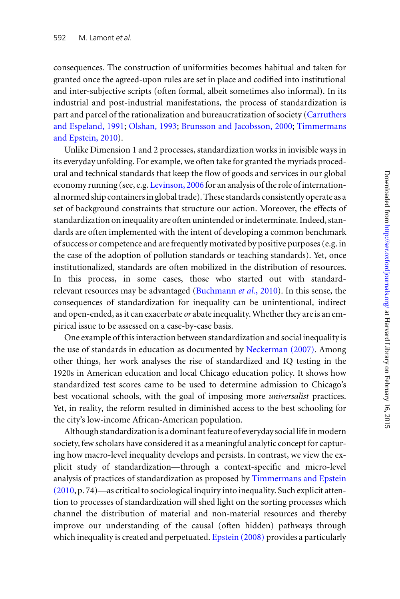consequences. The construction of uniformities becomes habitual and taken for granted once the agreed-upon rules are set in place and codified into institutional and inter-subjective scripts (often formal, albeit sometimes also informal). In its industrial and post-industrial manifestations, the process of standardization is part and parcel of the rationalization and bureaucratization of society ([Carruthers](#page-28-0) [and Espeland, 1991](#page-28-0); [Olshan, 1993;](#page-32-0) [Brunsson and Jacobsson, 2000](#page-28-0); [Timmermans](#page-34-0) [and Epstein, 2010](#page-34-0)).

Unlike Dimension 1 and 2 processes, standardization works in invisible ways in its everyday unfolding. For example, we often take for granted the myriads procedural and technical standards that keep the flow of goods and services in our global economy running (see, e.g. [Levinson, 2006](#page-31-0) for an analysis of the role of international normed ship containersin global trade). These standards consistently operate as a set of background constraints that structure our action. Moreover, the effects of standardization on inequality are often unintended or indeterminate. Indeed, standards are often implemented with the intent of developing a common benchmark of success or competence and are frequently motivated by positive purposes (e.g. in the case of the adoption of pollution standards or teaching standards). Yet, once institutionalized, standards are often mobilized in the distribution of resources. In this process, in some cases, those who started out with standard-relevant resources may be advantaged ([Buchmann](#page-28-0) et al., 2010). In this sense, the consequences of standardization for inequality can be unintentional, indirect and open-ended, as it can exacerbate or abate inequality. Whether they are is an empirical issue to be assessed on a case-by-case basis.

One example of this interaction between standardization and social inequality is the use of standards in education as documented by [Neckerman \(2007\)](#page-32-0). Among other things, her work analyses the rise of standardized and IQ testing in the 1920s in American education and local Chicago education policy. It shows how standardized test scores came to be used to determine admission to Chicago's best vocational schools, with the goal of imposing more *universalist* practices. Yet, in reality, the reform resulted in diminished access to the best schooling for the city's low-income African-American population.

Although standardization is a dominant feature of everyday social life in modern society, few scholars have considered it as a meaningful analytic concept for capturing how macro-level inequality develops and persists. In contrast, we view the explicit study of standardization—through a context-specific and micro-level analysis of practices of standardization as proposed by [Timmermans and Epstein](#page-34-0) [\(2010](#page-34-0), p. 74)—as critical to sociological inquiry into inequality. Such explicit attention to processes of standardization will shed light on the sorting processes which channel the distribution of material and non-material resources and thereby improve our understanding of the causal (often hidden) pathways through which inequality is created and perpetuated. [Epstein \(2008\)](#page-29-0) provides a particularly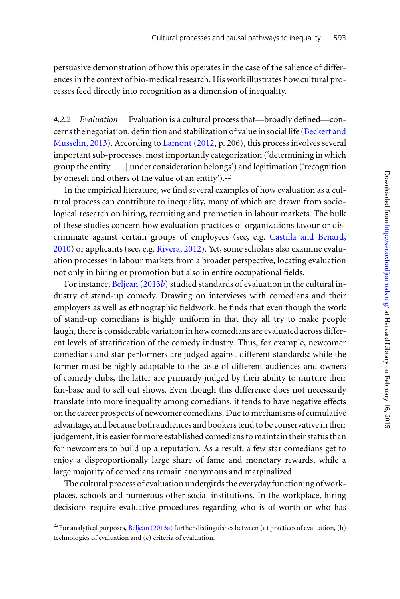persuasive demonstration of how this operates in the case of the salience of differences in the context of bio-medical research. His work illustrates how cultural processes feed directly into recognition as a dimension of inequality.

4.2.2 Evaluation Evaluation is a cultural process that—broadly defined—con-cerns the negotiation, definition and stabilization of value in social life ([Beckert and](#page-27-0) [Musselin, 2013\)](#page-27-0). According to [Lamont \(2012](#page-31-0), p. 206), this process involves several important sub-processes, most importantly categorization ('determining in which group the entity [...] under consideration belongs') and legitimation ('recognition by oneself and others of the value of an entity').<sup>22</sup>

In the empirical literature, we find several examples of how evaluation as a cultural process can contribute to inequality, many of which are drawn from sociological research on hiring, recruiting and promotion in labour markets. The bulk of these studies concern how evaluation practices of organizations favour or discriminate against certain groups of employees (see, e.g. [Castilla and Benard,](#page-28-0) [2010](#page-28-0)) or applicants (see, e.g. [Rivera, 2012\)](#page-33-0). Yet, some scholars also examine evaluation processes in labour markets from a broader perspective, locating evaluation not only in hiring or promotion but also in entire occupational fields.

For instance, [Beljean \(2013](#page-27-0)b) studied standards of evaluation in the cultural industry of stand-up comedy. Drawing on interviews with comedians and their employers as well as ethnographic fieldwork, he finds that even though the work of stand-up comedians is highly uniform in that they all try to make people laugh, there is considerable variation in how comedians are evaluated across different levels of stratification of the comedy industry. Thus, for example, newcomer comedians and star performers are judged against different standards: while the former must be highly adaptable to the taste of different audiences and owners of comedy clubs, the latter are primarily judged by their ability to nurture their fan-base and to sell out shows. Even though this difference does not necessarily translate into more inequality among comedians, it tends to have negative effects on the career prospects of newcomer comedians. Due to mechanisms of cumulative advantage, and because both audiences and bookers tend to be conservative in their judgement, it is easier for more established comedians to maintain their status than for newcomers to build up a reputation. As a result, a few star comedians get to enjoy a disproportionally large share of fame and monetary rewards, while a large majority of comedians remain anonymous and marginalized.

The cultural process of evaluation undergirds the everyday functioning of workplaces, schools and numerous other social institutions. In the workplace, hiring decisions require evaluative procedures regarding who is of worth or who has

<sup>&</sup>lt;sup>22</sup>For analytical purposes, [Beljean \(2013a\)](#page-27-0) further distinguishes between (a) practices of evaluation, (b) technologies of evaluation and (c) criteria of evaluation.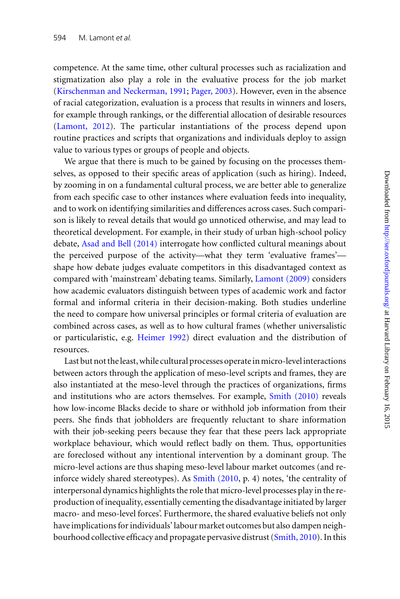competence. At the same time, other cultural processes such as racialization and stigmatization also play a role in the evaluative process for the job market ([Kirschenman and Neckerman, 1991;](#page-31-0) [Pager, 2003](#page-33-0)). However, even in the absence of racial categorization, evaluation is a process that results in winners and losers, for example through rankings, or the differential allocation of desirable resources ([Lamont, 2012\)](#page-31-0). The particular instantiations of the process depend upon routine practices and scripts that organizations and individuals deploy to assign value to various types or groups of people and objects.

We argue that there is much to be gained by focusing on the processes themselves, as opposed to their specific areas of application (such as hiring). Indeed, by zooming in on a fundamental cultural process, we are better able to generalize from each specific case to other instances where evaluation feeds into inequality, and to work on identifying similarities and differences across cases. Such comparison is likely to reveal details that would go unnoticed otherwise, and may lead to theoretical development. For example, in their study of urban high-school policy debate, [Asad and Bell \(2014\)](#page-27-0) interrogate how conflicted cultural meanings about the perceived purpose of the activity—what they term 'evaluative frames' shape how debate judges evaluate competitors in this disadvantaged context as compared with 'mainstream' debating teams. Similarly, [Lamont \(2009\)](#page-31-0) considers how academic evaluators distinguish between types of academic work and factor formal and informal criteria in their decision-making. Both studies underline the need to compare how universal principles or formal criteria of evaluation are combined across cases, as well as to how cultural frames (whether universalistic or particularistic, e.g. [Heimer 1992\)](#page-30-0) direct evaluation and the distribution of resources.

Last but not the least, while cultural processes operate in micro-level interactions between actors through the application of meso-level scripts and frames, they are also instantiated at the meso-level through the practices of organizations, firms and institutions who are actors themselves. For example, [Smith \(2010\)](#page-34-0) reveals how low-income Blacks decide to share or withhold job information from their peers. She finds that jobholders are frequently reluctant to share information with their job-seeking peers because they fear that these peers lack appropriate workplace behaviour, which would reflect badly on them. Thus, opportunities are foreclosed without any intentional intervention by a dominant group. The micro-level actions are thus shaping meso-level labour market outcomes (and reinforce widely shared stereotypes). As [Smith \(2010,](#page-34-0) p. 4) notes, 'the centrality of interpersonal dynamics highlights the role that micro-level processes play in the reproduction of inequality, essentially cementing the disadvantage initiated by larger macro- and meso-level forces'. Furthermore, the shared evaluative beliefs not only have implications for individuals' labour market outcomes but also dampen neigh-bourhood collective efficacy and propagate pervasive distrust [\(Smith, 2010\)](#page-34-0). In this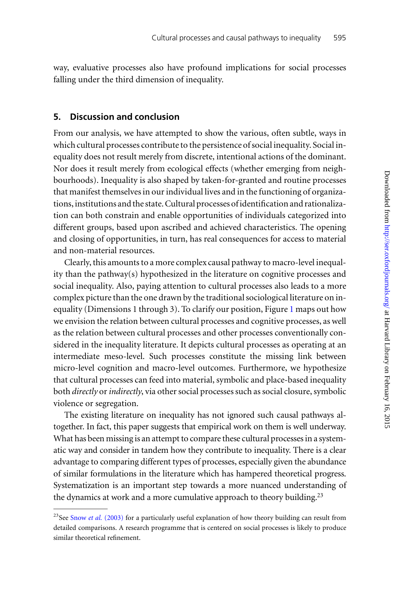way, evaluative processes also have profound implications for social processes falling under the third dimension of inequality.

## 5. Discussion and conclusion

From our analysis, we have attempted to show the various, often subtle, ways in which cultural processes contribute to the persistence of social inequality. Social inequality does not result merely from discrete, intentional actions of the dominant. Nor does it result merely from ecological effects (whether emerging from neighbourhoods). Inequality is also shaped by taken-for-granted and routine processes that manifest themselves in our individual lives and in the functioning of organizations,institutions and the state. Cultural processes ofidentification and rationalization can both constrain and enable opportunities of individuals categorized into different groups, based upon ascribed and achieved characteristics. The opening and closing of opportunities, in turn, has real consequences for access to material and non-material resources.

Clearly, this amounts to a more complex causal pathway to macro-level inequality than the pathway(s) hypothesized in the literature on cognitive processes and social inequality. Also, paying attention to cultural processes also leads to a more complex picture than the one drawn by the traditional sociological literature on inequality (Dimensions 1 through 3). To clarify our position, Figure [1](#page-8-0) maps out how we envision the relation between cultural processes and cognitive processes, as well as the relation between cultural processes and other processes conventionally considered in the inequality literature. It depicts cultural processes as operating at an intermediate meso-level. Such processes constitute the missing link between micro-level cognition and macro-level outcomes. Furthermore, we hypothesize that cultural processes can feed into material, symbolic and place-based inequality both *directly* or *indirectly*, via other social processes such as social closure, symbolic violence or segregation.

The existing literature on inequality has not ignored such causal pathways altogether. In fact, this paper suggests that empirical work on them is well underway. What has been missing is an attempt to compare these cultural processes in a systematic way and consider in tandem how they contribute to inequality. There is a clear advantage to comparing different types of processes, especially given the abundance of similar formulations in the literature which has hampered theoretical progress. Systematization is an important step towards a more nuanced understanding of the dynamics at work and a more cumulative approach to theory building.<sup>23</sup>

<sup>&</sup>lt;sup>23</sup>See Snow et al. [\(2003\)](#page-34-0) for a particularly useful explanation of how theory building can result from detailed comparisons. A research programme that is centered on social processes is likely to produce similar theoretical refinement.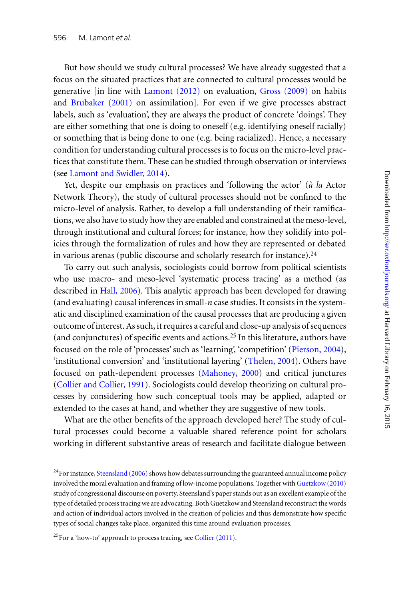But how should we study cultural processes? We have already suggested that a focus on the situated practices that are connected to cultural processes would be generative [in line with [Lamont \(2012\)](#page-31-0) on evaluation, [Gross \(2009\)](#page-30-0) on habits and [Brubaker \(2001\)](#page-28-0) on assimilation]. For even if we give processes abstract labels, such as 'evaluation', they are always the product of concrete 'doings'. They are either something that one is doing to oneself (e.g. identifying oneself racially) or something that is being done to one (e.g. being racialized). Hence, a necessary condition for understanding cultural processes is to focus on the micro-level practices that constitute them. These can be studied through observation or interviews (see [Lamont and Swidler, 2014\)](#page-31-0).

Yet, despite our emphasis on practices and 'following the actor'  $(\dot{a})$  la Actor Network Theory), the study of cultural processes should not be confined to the micro-level of analysis. Rather, to develop a full understanding of their ramifications, we also have to study how they are enabled and constrained at the meso-level, through institutional and cultural forces; for instance, how they solidify into policies through the formalization of rules and how they are represented or debated in various arenas (public discourse and scholarly research for instance).<sup>24</sup>

To carry out such analysis, sociologists could borrow from political scientists who use macro- and meso-level 'systematic process tracing' as a method (as described in [Hall, 2006\)](#page-30-0). This analytic approach has been developed for drawing (and evaluating) causal inferences in small- $n$  case studies. It consists in the systematic and disciplined examination of the causal processes that are producing a given outcome of interest. As such, it requires a careful and close-up analysis of sequences (and conjunctures) of specific events and actions.25 In this literature, authors have focused on the role of 'processes' such as 'learning', 'competition' ([Pierson, 2004\)](#page-33-0), 'institutional conversion' and 'institutional layering' [\(Thelen, 2004](#page-34-0)). Others have focused on path-dependent processes [\(Mahoney, 2000](#page-32-0)) and critical junctures ([Collier and Collier, 1991](#page-28-0)). Sociologists could develop theorizing on cultural processes by considering how such conceptual tools may be applied, adapted or extended to the cases at hand, and whether they are suggestive of new tools.

What are the other benefits of the approach developed here? The study of cultural processes could become a valuable shared reference point for scholars working in different substantive areas of research and facilitate dialogue between

 $^{24}$ For instance, [Steensland \(2006\)](#page-34-0) shows how debates surrounding the guaranteed annual income policy involved the moral evaluation and framing of low-income populations. Together with [Guetzkow \(2010\)](#page-30-0) study of congressional discourse on poverty, Steensland's paper stands out as an excellent example of the type of detailed process tracing we are advocating. Both Guetzkow and Steensland reconstruct the words and action of individual actors involved in the creation of policies and thus demonstrate how specific types of social changes take place, organized this time around evaluation processes.

 $^{25}$ For a 'how-to' approach to process tracing, see [Collier \(2011\)](#page-28-0).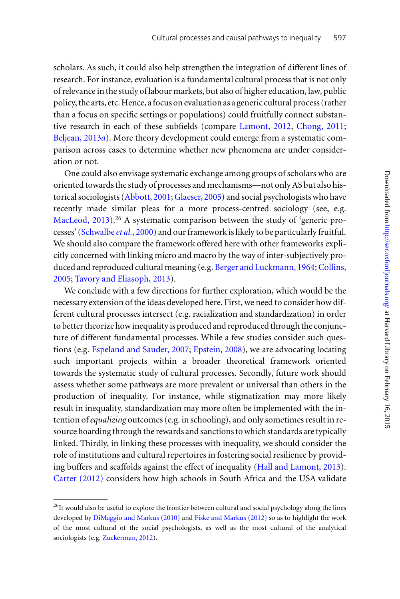scholars. As such, it could also help strengthen the integration of different lines of research. For instance, evaluation is a fundamental cultural process that is not only of relevance in the study of labour markets, but also of higher education, law, public policy, the arts, etc. Hence, afocus on evaluation as a generic cultural process (rather than a focus on specific settings or populations) could fruitfully connect substantive research in each of these subfields (compare [Lamont, 2012,](#page-31-0) [Chong, 2011;](#page-28-0) [Beljean, 2013](#page-27-0)a). More theory development could emerge from a systematic comparison across cases to determine whether new phenomena are under consideration or not.

One could also envisage systematic exchange among groups of scholars who are oriented towards the study of processes and mechanisms—not only AS but also his-torical sociologists ([Abbott, 2001](#page-27-0); [Glaeser, 2005](#page-30-0)) and social psychologists who have recently made similar pleas for a more process-centred sociology (see, e.g. [MacLeod, 2013](#page-32-0)).<sup>26</sup> A systematic comparison between the study of 'generic processes' ([Schwalbe](#page-34-0) et al., 2000) and our framework is likely to be particularly fruitful. We should also compare the framework offered here with other frameworks explicitly concerned with linking micro and macro by the way of inter-subjectively pro-duced and reproduced cultural meaning (e.g. [Berger and Luckmann, 1964](#page-27-0); [Collins,](#page-28-0) [2005](#page-28-0); [Tavory and Eliasoph, 2013\)](#page-34-0).

We conclude with a few directions for further exploration, which would be the necessary extension of the ideas developed here. First, we need to consider how different cultural processes intersect (e.g. racialization and standardization) in order to better theorize how inequality is produced and reproduced through the conjuncture of different fundamental processes. While a few studies consider such questions (e.g. [Espeland and Sauder, 2007](#page-29-0); [Epstein, 2008\)](#page-29-0), we are advocating locating such important projects within a broader theoretical framework oriented towards the systematic study of cultural processes. Secondly, future work should assess whether some pathways are more prevalent or universal than others in the production of inequality. For instance, while stigmatization may more likely result in inequality, standardization may more often be implemented with the intention of *equalizing* outcomes (e.g. in schooling), and only sometimes result in resource hoarding through the rewards and sanctions towhich standards are typically linked. Thirdly, in linking these processes with inequality, we should consider the role of institutions and cultural repertoires in fostering social resilience by providing buffers and scaffolds against the effect of inequality ([Hall and Lamont, 2013\)](#page-30-0). [Carter \(2012\)](#page-28-0) considers how high schools in South Africa and the USA validate

<sup>&</sup>lt;sup>26</sup>It would also be useful to explore the frontier between cultural and social psychology along the lines developed by [DiMaggio and Markus \(2010\)](#page-29-0) and [Fiske and Markus \(2012\)](#page-29-0) so as to highlight the work of the most cultural of the social psychologists, as well as the most cultural of the analytical sociologists (e.g. [Zuckerman, 2012](#page-35-0)).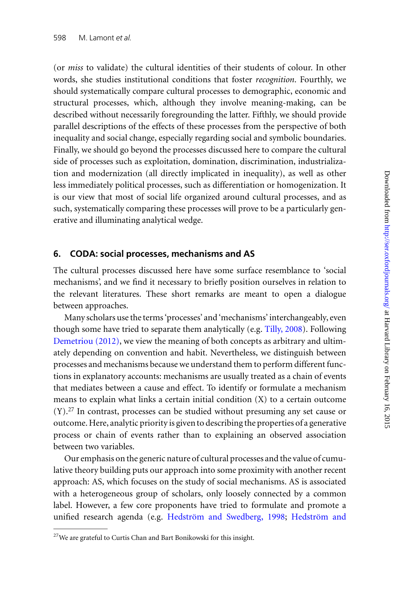(or miss to validate) the cultural identities of their students of colour. In other words, she studies institutional conditions that foster recognition. Fourthly, we should systematically compare cultural processes to demographic, economic and structural processes, which, although they involve meaning-making, can be described without necessarily foregrounding the latter. Fifthly, we should provide parallel descriptions of the effects of these processes from the perspective of both inequality and social change, especially regarding social and symbolic boundaries. Finally, we should go beyond the processes discussed here to compare the cultural side of processes such as exploitation, domination, discrimination, industrialization and modernization (all directly implicated in inequality), as well as other less immediately political processes, such as differentiation or homogenization. It is our view that most of social life organized around cultural processes, and as such, systematically comparing these processes will prove to be a particularly generative and illuminating analytical wedge.

#### 6. CODA: social processes, mechanisms and AS

The cultural processes discussed here have some surface resemblance to 'social mechanisms', and we find it necessary to briefly position ourselves in relation to the relevant literatures. These short remarks are meant to open a dialogue between approaches.

Many scholars use the terms 'processes' and 'mechanisms' interchangeably, even though some have tried to separate them analytically (e.g. [Tilly, 2008\)](#page-34-0). Following [Demetriou \(2012\)](#page-28-0), we view the meaning of both concepts as arbitrary and ultimately depending on convention and habit. Nevertheless, we distinguish between processes and mechanisms because we understand them to perform different functions in explanatory accounts: mechanisms are usually treated as a chain of events that mediates between a cause and effect. To identify or formulate a mechanism means to explain what links a certain initial condition (X) to a certain outcome (Y).27 In contrast, processes can be studied without presuming any set cause or outcome. Here, analytic priority is given to describing the properties of a generative process or chain of events rather than to explaining an observed association between two variables.

Our emphasis on the generic nature of cultural processes and the value of cumulative theory building puts our approach into some proximity with another recent approach: AS, which focuses on the study of social mechanisms. AS is associated with a heterogeneous group of scholars, only loosely connected by a common label. However, a few core proponents have tried to formulate and promote a unified research agenda (e.g. Hedström and Swedberg, 1998; Hedström and

<sup>&</sup>lt;sup>27</sup>We are grateful to Curtis Chan and Bart Bonikowski for this insight.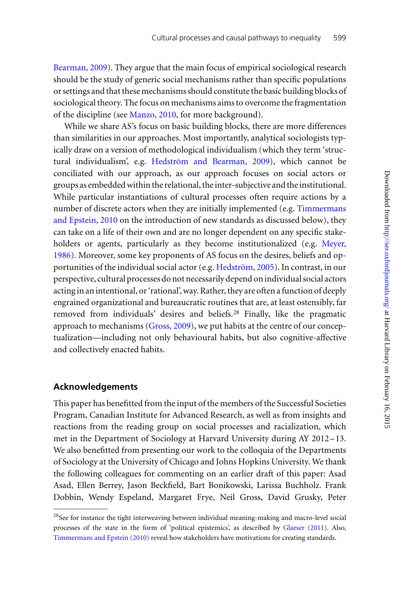[Bearman, 2009\)](#page-30-0). They argue that the main focus of empirical sociological research should be the study of generic social mechanisms rather than specific populations or settings and that these mechanisms should constitute the basic building blocks of sociological theory. The focus on mechanisms aims to overcome the fragmentation of the discipline (see [Manzo, 2010,](#page-32-0) for more background).

While we share AS's focus on basic building blocks, there are more differences than similarities in our approaches. Most importantly, analytical sociologists typically draw on a version of methodological individualism (which they term 'structural individualism', e.g. Hedström and Bearman, 2009), which cannot be conciliated with our approach, as our approach focuses on social actors or groups as embedded within the relational, the inter-subjective and the institutional. While particular instantiations of cultural processes often require actions by a number of discrete actors when they are initially implemented (e.g. [Timmermans](#page-34-0) [and Epstein, 2010](#page-34-0) on the introduction of new standards as discussed below), they can take on a life of their own and are no longer dependent on any specific stakeholders or agents, particularly as they become institutionalized (e.g. [Meyer,](#page-32-0) [1986](#page-32-0)). Moreover, some key proponents of AS focus on the desires, beliefs and opportunities of the individual social actor (e.g. Hedström, 2005). In contrast, in our perspective, cultural processes do not necessarily depend on individual social actors acting in an intentional, or 'rational', way. Rather, they are often afunction of deeply engrained organizational and bureaucratic routines that are, at least ostensibly, far removed from individuals' desires and beliefs.28 Finally, like the pragmatic approach to mechanisms ([Gross, 2009](#page-30-0)), we put habits at the centre of our conceptualization—including not only behavioural habits, but also cognitive-affective and collectively enacted habits.

#### Acknowledgements

This paper has benefitted from the input of the members of the Successful Societies Program, Canadian Institute for Advanced Research, as well as from insights and reactions from the reading group on social processes and racialization, which met in the Department of Sociology at Harvard University during AY 2012 –13. We also benefitted from presenting our work to the colloquia of the Departments of Sociology at the University of Chicago and Johns Hopkins University. We thank the following colleagues for commenting on an earlier draft of this paper: Asad Asad, Ellen Berrey, Jason Beckfield, Bart Bonikowski, Larissa Buchholz. Frank Dobbin, Wendy Espeland, Margaret Frye, Neil Gross, David Grusky, Peter

<sup>&</sup>lt;sup>28</sup>See for instance the tight interweaving between individual meaning-making and macro-level social processes of the state in the form of 'political epistemics', as described by [Glaeser \(2011\).](#page-30-0) Also, [Timmermans and Epstein \(2010\)](#page-34-0) reveal how stakeholders have motivations for creating standards.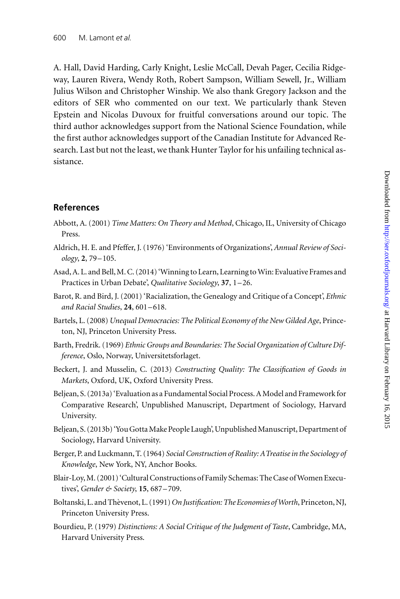<span id="page-27-0"></span>A. Hall, David Harding, Carly Knight, Leslie McCall, Devah Pager, Cecilia Ridgeway, Lauren Rivera, Wendy Roth, Robert Sampson, William Sewell, Jr., William Julius Wilson and Christopher Winship. We also thank Gregory Jackson and the editors of SER who commented on our text. We particularly thank Steven Epstein and Nicolas Duvoux for fruitful conversations around our topic. The third author acknowledges support from the National Science Foundation, while the first author acknowledges support of the Canadian Institute for Advanced Research. Last but not the least, we thank Hunter Taylor for his unfailing technical assistance.

## References

- Abbott, A. (2001) Time Matters: On Theory and Method, Chicago, IL, University of Chicago Press.
- Aldrich, H. E. and Pfeffer, J. (1976) 'Environments of Organizations', Annual Review of Sociology, 2, 79–105.
- Asad, A. L. and Bell, M. C. (2014) 'Winning to Learn, Learning to Win: Evaluative Frames and Practices in Urban Debate', Qualitative Sociology, 37, 1 –26.
- Barot, R. and Bird, J. (2001) 'Racialization, the Genealogy and Critique of a Concept', *Ethnic* and Racial Studies, 24, 601–618.
- Bartels, L. (2008) Unequal Democracies: The Political Economy of the New Gilded Age, Princeton, NJ, Princeton University Press.
- Barth, Fredrik. (1969) Ethnic Groups and Boundaries: The Social Organization of Culture Difference, Oslo, Norway, Universitetsforlaget.
- Beckert, J. and Musselin, C. (2013) Constructing Quality: The Classification of Goods in Markets, Oxford, UK, Oxford University Press.
- Beljean, S. (2013a) 'Evaluation as a Fundamental Social Process. AModel and Framework for Comparative Research', Unpublished Manuscript, Department of Sociology, Harvard University.
- Beljean, S. (2013b) 'You Gotta Make People Laugh', Unpublished Manuscript, Department of Sociology, Harvard University.
- Berger, P. and Luckmann, T. (1964) Social Construction of Reality: ATreatise in the Sociology of Knowledge, New York, NY, Anchor Books.
- Blair-Loy,M. (2001) 'Cultural Constructions of Family Schemas: TheCase ofWomen Executives', Gender & Society, 15, 687-709.
- Boltanski, L. and Thèvenot, L. (1991) On Justification: The Economies of Worth, Princeton, NJ, Princeton University Press.
- Bourdieu, P. (1979) Distinctions: A Social Critique of the Judgment of Taste, Cambridge, MA, Harvard University Press.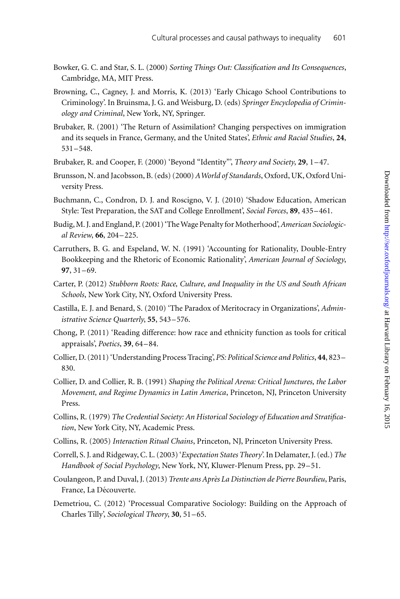- <span id="page-28-0"></span>Bowker, G. C. and Star, S. L. (2000) Sorting Things Out: Classification and Its Consequences, Cambridge, MA, MIT Press.
- Browning, C., Cagney, J. and Morris, K. (2013) 'Early Chicago School Contributions to Criminology'. In Bruinsma, J. G. and Weisburg, D. (eds) Springer Encyclopedia of Criminology and Criminal, New York, NY, Springer.
- Brubaker, R. (2001) 'The Return of Assimilation? Changing perspectives on immigration and its sequels in France, Germany, and the United States', Ethnic and Racial Studies, 24,  $531 - 548.$
- Brubaker, R. and Cooper, F. (2000) 'Beyond "Identity"', Theory and Society, 29, 1–47.
- Brunsson, N. and Jacobsson, B. (eds) (2000) AWorld of Standards, Oxford, UK, Oxford University Press.
- Buchmann, C., Condron, D. J. and Roscigno, V. J. (2010) 'Shadow Education, American Style: Test Preparation, the SAT and College Enrollment', Social Forces, 89, 435–461.
- Budig, M. J. and England, P. (2001) 'The Wage Penalty for Motherhood', American Sociological Review, 66, 204–225.
- Carruthers, B. G. and Espeland, W. N. (1991) 'Accounting for Rationality, Double-Entry Bookkeeping and the Rhetoric of Economic Rationality', American Journal of Sociology,  $97, 31 - 69.$
- Carter, P. (2012) Stubborn Roots: Race, Culture, and Inequality in the US and South African Schools, New York City, NY, Oxford University Press.
- Castilla, E. J. and Benard, S. (2010) 'The Paradox of Meritocracy in Organizations', Administrative Science Quarterly, 55, 543 –576.
- Chong, P. (2011) 'Reading difference: how race and ethnicity function as tools for critical appraisals', Poetics, 39, 64 –84.
- Collier, D. (2011) 'Understanding Process Tracing', PS: Political Science and Politics, 44, 823 830.
- Collier, D. and Collier, R. B. (1991) Shaping the Political Arena: Critical Junctures, the Labor Movement, and Regime Dynamics in Latin America, Princeton, NJ, Princeton University Press.
- Collins, R. (1979) The Credential Society: An Historical Sociology of Education and Stratification, New York City, NY, Academic Press.
- Collins, R. (2005) Interaction Ritual Chains, Princeton, NJ, Princeton University Press.
- Correll, S. J. and Ridgeway, C. L. (2003) 'Expectation States Theory'. In Delamater, J. (ed.) The Handbook of Social Psychology, New York, NY, Kluwer-Plenum Press, pp. 29–51.
- Coulangeon, P. and Duval, J. (2013) Trente ans Après La Distinction de Pierre Bourdieu, Paris, France, La Découverte.
- Demetriou, C. (2012) 'Processual Comparative Sociology: Building on the Approach of Charles Tilly', Sociological Theory, 30, 51 –65.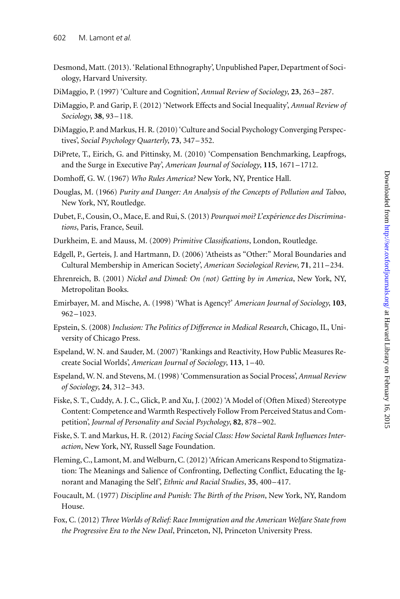- <span id="page-29-0"></span>Desmond, Matt. (2013). 'Relational Ethnography', Unpublished Paper, Department of Sociology, Harvard University.
- DiMaggio, P. (1997) 'Culture and Cognition', Annual Review of Sociology, 23, 263–287.
- DiMaggio, P. and Garip, F. (2012) 'Network Effects and Social Inequality', Annual Review of Sociology, 38, 93-118.
- DiMaggio, P. and Markus, H. R. (2010) 'Culture and Social Psychology Converging Perspectives', Social Psychology Quarterly, 73, 347–352.
- DiPrete, T., Eirich, G. and Pittinsky, M. (2010) 'Compensation Benchmarking, Leapfrogs, and the Surge in Executive Pay', American Journal of Sociology, 115, 1671–1712.
- Domhoff, G. W. (1967) Who Rules America? New York, NY, Prentice Hall.
- Douglas, M. (1966) Purity and Danger: An Analysis of the Concepts of Pollution and Taboo, New York, NY, Routledge.
- Dubet, F., Cousin, O., Mace, E. and Rui, S. (2013) Pourquoi moi? L'expérience des Discriminations, Paris, France, Seuil.
- Durkheim, E. and Mauss, M. (2009) Primitive Classifications, London, Routledge.
- Edgell, P., Gerteis, J. and Hartmann, D. (2006) 'Atheists as "Other:" Moral Boundaries and Cultural Membership in American Society', American Sociological Review, 71, 211 –234.
- Ehrenreich, B. (2001) Nickel and Dimed: On (not) Getting by in America, New York, NY, Metropolitan Books.
- Emirbayer, M. and Mische, A. (1998) 'What is Agency?' American Journal of Sociology, 103,  $962 - 1023.$
- Epstein, S. (2008) Inclusion: The Politics of Difference in Medical Research, Chicago, IL, University of Chicago Press.
- Espeland, W. N. and Sauder, M. (2007) 'Rankings and Reactivity, How Public Measures Recreate Social Worlds', American Journal of Sociology, 113, 1 –40.
- Espeland, W. N. and Stevens, M. (1998) 'Commensuration as Social Process', Annual Review of Sociology, 24, 312 –343.
- Fiske, S. T., Cuddy, A. J. C., Glick, P. and Xu, J. (2002) 'A Model of (Often Mixed) Stereotype Content: Competence and Warmth Respectively Follow From Perceived Status and Competition', Journal of Personality and Social Psychology, 82, 878 –902.
- Fiske, S. T. and Markus, H. R. (2012) Facing Social Class: How Societal Rank Influences Interaction, New York, NY, Russell Sage Foundation.
- Fleming, C., Lamont, M. and Welburn, C. (2012) 'African Americans Respond to Stigmatization: The Meanings and Salience of Confronting, Deflecting Conflict, Educating the Ignorant and Managing the Self', Ethnic and Racial Studies, 35, 400–417.
- Foucault, M. (1977) Discipline and Punish: The Birth of the Prison, New York, NY, Random House.
- Fox, C. (2012) Three Worlds of Relief: Race Immigration and the American Welfare State from the Progressive Era to the New Deal, Princeton, NJ, Princeton University Press.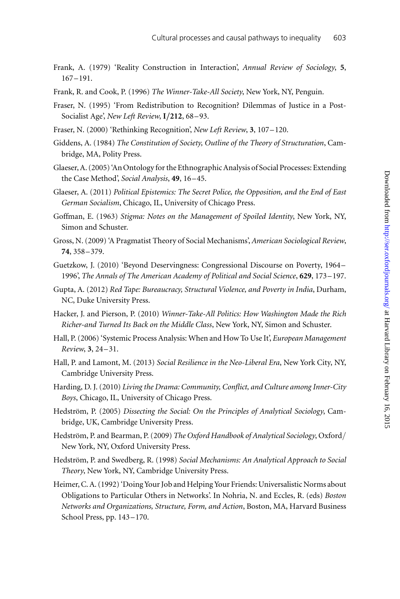- <span id="page-30-0"></span>Frank, A. (1979) 'Reality Construction in Interaction', Annual Review of Sociology, 5,  $167 - 191.$
- Frank, R. and Cook, P. (1996) The Winner-Take-All Society, New York, NY, Penguin.
- Fraser, N. (1995) 'From Redistribution to Recognition? Dilemmas of Justice in a Post-Socialist Age', New Left Review, I/212, 68–93.
- Fraser, N. (2000) 'Rethinking Recognition', New Left Review, 3, 107-120.
- Giddens, A. (1984) The Constitution of Society, Outline of the Theory of Structuration, Cambridge, MA, Polity Press.
- Glaeser, A. (2005) 'An Ontology for the Ethnographic Analysis of Social Processes: Extending the Case Method', Social Analysis, 49, 16-45.
- Glaeser, A. (2011) Political Epistemics: The Secret Police, the Opposition, and the End of East German Socialism, Chicago, IL, University of Chicago Press.
- Goffman, E. (1963) Stigma: Notes on the Management of Spoiled Identity, New York, NY, Simon and Schuster.
- Gross, N. (2009) 'A Pragmatist Theory of Social Mechanisms', American Sociological Review, 74, 358 –379.
- Guetzkow, J. (2010) 'Beyond Deservingness: Congressional Discourse on Poverty, 1964– 1996', The Annals of The American Academy of Political and Social Science, 629, 173-197.
- Gupta, A. (2012) Red Tape: Bureaucracy, Structural Violence, and Poverty in India, Durham, NC, Duke University Press.
- Hacker, J. and Pierson, P. (2010) Winner-Take-All Politics: How Washington Made the Rich Richer-and Turned Its Back on the Middle Class, New York, NY, Simon and Schuster.
- Hall, P. (2006) 'Systemic Process Analysis: When and How To Use It', European Management Review, 3, 24 –31.
- Hall, P. and Lamont, M. (2013) Social Resilience in the Neo-Liberal Era, New York City, NY, Cambridge University Press.
- Harding, D. J. (2010) Living the Drama: Community, Conflict, and Culture among Inner-City Boys, Chicago, IL, University of Chicago Press.
- Hedström, P. (2005) Dissecting the Social: On the Principles of Analytical Sociology, Cambridge, UK, Cambridge University Press.
- Hedström, P. and Bearman, P. (2009) The Oxford Handbook of Analytical Sociology, Oxford/ New York, NY, Oxford University Press.
- Hedström, P. and Swedberg, R. (1998) Social Mechanisms: An Analytical Approach to Social Theory, New York, NY, Cambridge University Press.
- Heimer, C. A. (1992) 'Doing Your Job and Helping Your Friends: Universalistic Norms about Obligations to Particular Others in Networks'. In Nohria, N. and Eccles, R. (eds) Boston Networks and Organizations, Structure, Form, and Action, Boston, MA, Harvard Business School Press, pp. 143-170.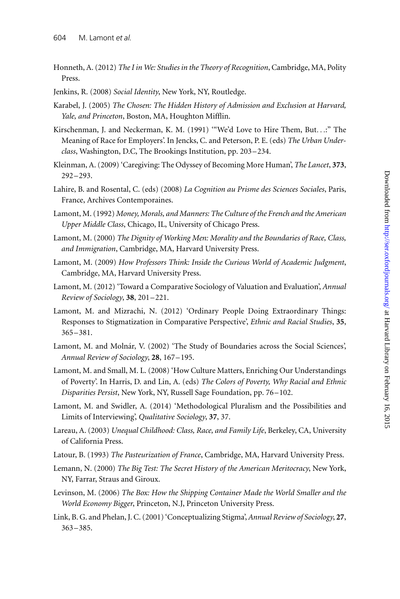- <span id="page-31-0"></span>Honneth, A. (2012) The I in We: Studies in the Theory of Recognition, Cambridge, MA, Polity Press.
- Jenkins, R. (2008) Social Identity, New York, NY, Routledge.
- Karabel, J. (2005) The Chosen: The Hidden History of Admission and Exclusion at Harvard, Yale, and Princeton, Boston, MA, Houghton Mifflin.
- Kirschenman, J. and Neckerman, K. M. (1991) '"We'd Love to Hire Them, But...:" The Meaning of Race for Employers'. In Jencks, C. and Peterson, P. E. (eds) The Urban Underclass, Washington, D.C, The Brookings Institution, pp. 203 –234.
- Kleinman, A. (2009) 'Caregiving: The Odyssey of Becoming More Human', The Lancet, 373,  $292 - 293.$
- Lahire, B. and Rosental, C. (eds) (2008) La Cognition au Prisme des Sciences Sociales, Paris, France, Archives Contemporaines.
- Lamont, M. (1992) Money, Morals, and Manners: The Culture of the French and the American Upper Middle Class, Chicago, IL, University of Chicago Press.
- Lamont, M. (2000) The Dignity of Working Men: Morality and the Boundaries of Race, Class, and Immigration, Cambridge, MA, Harvard University Press.
- Lamont, M. (2009) How Professors Think: Inside the Curious World of Academic Judgment, Cambridge, MA, Harvard University Press.
- Lamont, M. (2012) 'Toward a Comparative Sociology of Valuation and Evaluation', Annual Review of Sociology, 38, 201 –221.
- Lamont, M. and Mizrachi, N. (2012) 'Ordinary People Doing Extraordinary Things: Responses to Stigmatization in Comparative Perspective', Ethnic and Racial Studies, 35, 365 –381.
- Lamont, M. and Molnár, V. (2002) 'The Study of Boundaries across the Social Sciences', Annual Review of Sociology, 28, 167-195.
- Lamont, M. and Small, M. L. (2008) 'How Culture Matters, Enriching Our Understandings of Poverty'. In Harris, D. and Lin, A. (eds) The Colors of Poverty, Why Racial and Ethnic Disparities Persist, New York, NY, Russell Sage Foundation, pp. 76 –102.
- Lamont, M. and Swidler, A. (2014) 'Methodological Pluralism and the Possibilities and Limits of Interviewing', Qualitative Sociology, 37, 37.
- Lareau, A. (2003) Unequal Childhood: Class, Race, and Family Life, Berkeley, CA, University of California Press.
- Latour, B. (1993) The Pasteurization of France, Cambridge, MA, Harvard University Press.
- Lemann, N. (2000) The Big Test: The Secret History of the American Meritocracy, New York, NY, Farrar, Straus and Giroux.
- Levinson, M. (2006) The Box: How the Shipping Container Made the World Smaller and the World Economy Bigger, Princeton, N.J, Princeton University Press.
- Link, B. G. and Phelan, J. C. (2001) 'Conceptualizing Stigma', Annual Review of Sociology, 27,  $363 - 385.$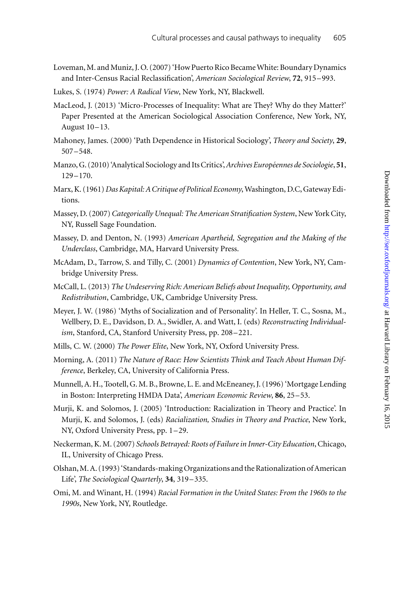- <span id="page-32-0"></span>Loveman,M. andMuniz, J. O. (2007) 'How Puerto Rico BecameWhite: Boundary Dynamics and Inter-Census Racial Reclassification', American Sociological Review, 72, 915 –993.
- Lukes, S. (1974) Power: A Radical View, New York, NY, Blackwell.
- MacLeod, J. (2013) 'Micro-Processes of Inequality: What are They? Why do they Matter?' Paper Presented at the American Sociological Association Conference, New York, NY, August 10-13.
- Mahoney, James. (2000) 'Path Dependence in Historical Sociology', Theory and Society, 29,  $507 - 548.$
- Manzo, G. (2010) 'Analytical Sociology and Its Critics', Archives Européennes de Sociologie, 51, 129 –170.
- Marx, K. (1961) Das Kapital: A Critique of Political Economy, Washington, D.C, Gateway Editions.
- Massey, D. (2007) Categorically Unequal: The American Stratification System, New York City, NY, Russell Sage Foundation.
- Massey, D. and Denton, N. (1993) American Apartheid, Segregation and the Making of the Underclass, Cambridge, MA, Harvard University Press.
- McAdam, D., Tarrow, S. and Tilly, C. (2001) Dynamics of Contention, New York, NY, Cambridge University Press.
- McCall, L. (2013) The Undeserving Rich: American Beliefs about Inequality, Opportunity, and Redistribution, Cambridge, UK, Cambridge University Press.
- Meyer, J. W. (1986) 'Myths of Socialization and of Personality'. In Heller, T. C., Sosna, M., Wellbery, D. E., Davidson, D. A., Swidler, A. and Watt, I. (eds) Reconstructing Individualism, Stanford, CA, Stanford University Press, pp. 208 –221.
- Mills, C. W. (2000) The Power Elite, New York, NY, Oxford University Press.
- Morning, A. (2011) The Nature of Race: How Scientists Think and Teach About Human Difference, Berkeley, CA, University of California Press.
- Munnell, A. H., Tootell, G. M. B., Browne, L. E. and McEneaney, J. (1996) 'Mortgage Lending in Boston: Interpreting HMDA Data', American Economic Review, 86, 25-53.
- Murji, K. and Solomos, J. (2005) 'Introduction: Racialization in Theory and Practice'. In Murji, K. and Solomos, J. (eds) Racialization, Studies in Theory and Practice, New York, NY, Oxford University Press, pp. 1 –29.
- Neckerman, K. M. (2007) Schools Betrayed: Roots of Failure in Inner-City Education, Chicago, IL, University of Chicago Press.
- Olshan,M. A. (1993) 'Standards-making Organizations and the Rationalization ofAmerican Life', The Sociological Quarterly, 34, 319 –335.
- Omi, M. and Winant, H. (1994) Racial Formation in the United States: From the 1960s to the 1990s, New York, NY, Routledge.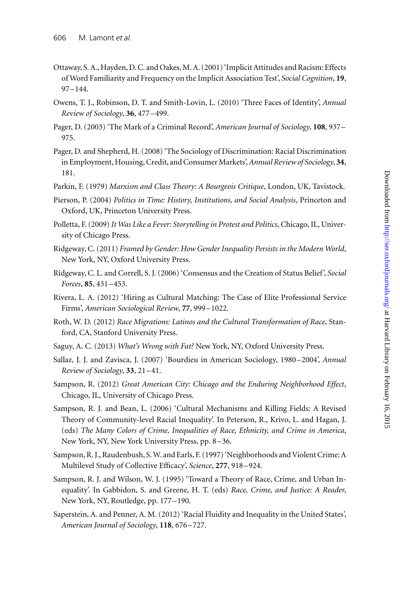- <span id="page-33-0"></span>Ottaway, S. A., Hayden, D. C. and Oakes,M. A. (2001) 'Implicit Attitudes and Racism: Effects of Word Familiarity and Frequency on the Implicit Association Test', Social Cognition, 19,  $97 - 144.$
- Owens, T. J., Robinson, D. T. and Smith-Lovin, L. (2010) 'Three Faces of Identity', Annual Review of Sociology, 36, 477 –499.
- Pager, D. (2003) 'The Mark of a Criminal Record', American Journal of Sociology, 108, 937– 975.
- Pager, D. and Shepherd, H. (2008) 'The Sociology of Discrimination: Racial Discrimination in Employment, Housing, Credit, and Consumer Markets', Annual Review of Sociology, 34, 181.
- Parkin, F. (1979) Marxism and Class Theory: A Bourgeois Critique, London, UK, Tavistock.
- Pierson, P. (2004) Politics in Time: History, Institutions, and Social Analysis, Princeton and Oxford, UK, Princeton University Press.
- Polletta, F. (2009) It Was Like a Fever: Storytelling in Protest and Politics, Chicago, IL, University of Chicago Press.
- Ridgeway, C. (2011) Framed by Gender: How Gender Inequality Persists in the Modern World, New York, NY, Oxford University Press.
- Ridgeway, C. L. and Correll, S. J. (2006) 'Consensus and the Creation of Status Belief', Social Forces, 85, 431–453.
- Rivera, L. A. (2012) 'Hiring as Cultural Matching: The Case of Elite Professional Service Firms', American Sociological Review, 77, 999 –1022.
- Roth, W. D. (2012) Race Migrations: Latinos and the Cultural Transformation of Race, Stanford, CA, Stanford University Press.
- Saguy, A. C. (2013) What's Wrong with Fat? New York, NY, Oxford University Press.
- Sallaz, J. J. and Zavisca, J. (2007) 'Bourdieu in American Sociology, 1980–2004', Annual Review of Sociology, 33, 21 –41.
- Sampson, R. (2012) Great American City: Chicago and the Enduring Neighborhood Effect, Chicago, IL, University of Chicago Press.
- Sampson, R. J. and Bean, L. (2006) 'Cultural Mechanisms and Killing Fields: A Revised Theory of Community-level Racial Inequality'. In Peterson, R., Krivo, L. and Hagan, J. (eds) The Many Colors of Crime, Inequalities of Race, Ethnicity, and Crime in America, New York, NY, New York University Press, pp. 8–36.
- Sampson, R. J., Raudenbush, S.W. and Earls, F. (1997) 'Neighborhoods and Violent Crime: A Multilevel Study of Collective Efficacy', Science, 277, 918 –924.
- Sampson, R. J. and Wilson, W. J. (1995) 'Toward a Theory of Race, Crime, and Urban Inequality'. In Gabbidon, S. and Greene, H. T. (eds) Race, Crime, and Justice: A Reader, New York, NY, Routledge, pp. 177 –190.
- Saperstein, A. and Penner, A. M. (2012) 'Racial Fluidity and Inequality in the United States', American Journal of Sociology, 118, 676–727.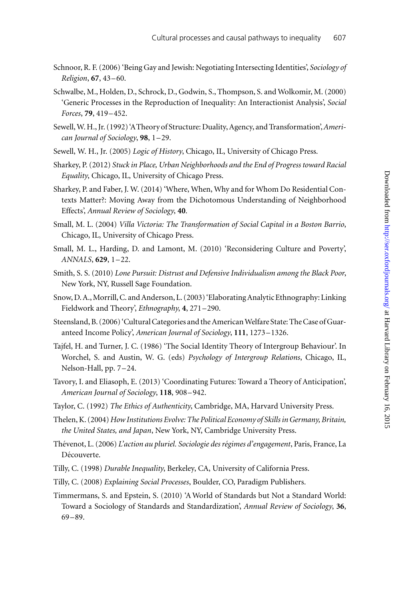- <span id="page-34-0"></span>Schnoor, R. F. (2006) 'Being Gay and Jewish: Negotiating Intersecting Identities', Sociology of Religion, 67, 43 –60.
- Schwalbe, M., Holden, D., Schrock, D., Godwin, S., Thompson, S. and Wolkomir, M. (2000) 'Generic Processes in the Reproduction of Inequality: An Interactionist Analysis', Social Forces, 79, 419–452.
- Sewell, W. H., Jr. (1992) 'A Theory of Structure: Duality, Agency, and Transformation', American Journal of Sociology,  $98, 1-29$ .
- Sewell, W. H., Jr. (2005) Logic of History, Chicago, IL, University of Chicago Press.
- Sharkey, P. (2012) Stuck in Place, Urban Neighborhoods and the End of Progress toward Racial Equality, Chicago, IL, University of Chicago Press.
- Sharkey, P. and Faber, J. W. (2014) 'Where, When, Why and for Whom Do Residential Contexts Matter?: Moving Away from the Dichotomous Understanding of Neighborhood Effects', Annual Review of Sociology, 40.
- Small, M. L. (2004) Villa Victoria: The Transformation of Social Capital in a Boston Barrio, Chicago, IL, University of Chicago Press.
- Small, M. L., Harding, D. and Lamont, M. (2010) 'Reconsidering Culture and Poverty', ANNALS, 629, 1-22.
- Smith, S. S. (2010) Lone Pursuit: Distrust and Defensive Individualism among the Black Poor, New York, NY, Russell Sage Foundation.
- Snow, D. A.,Morrill, C. and Anderson, L. (2003) 'Elaborating Analytic Ethnography: Linking Fieldwork and Theory', Ethnography, 4, 271 –290.
- Steensland, B. (2006) 'Cultural Categories and the AmericanWelfare State: The Case ofGuaranteed Income Policy', American Journal of Sociology, 111, 1273–1326.
- Tajfel, H. and Turner, J. C. (1986) 'The Social Identity Theory of Intergroup Behaviour'. In Worchel, S. and Austin, W. G. (eds) Psychology of Intergroup Relations, Chicago, IL, Nelson-Hall, pp. 7-24.
- Tavory, I. and Eliasoph, E. (2013) 'Coordinating Futures: Toward a Theory of Anticipation', American Journal of Sociology, 118, 908–942.
- Taylor, C. (1992) The Ethics of Authenticity, Cambridge, MA, Harvard University Press.
- Thelen, K. (2004)How Institutions Evolve: The Political Economy of Skills in Germany, Britain, the United States, and Japan, New York, NY, Cambridge University Press.
- Thévenot, L. (2006) L'action au pluriel. Sociologie des régimes d'engagement, Paris, France, La Découverte.
- Tilly, C. (1998) Durable Inequality, Berkeley, CA, University of California Press.
- Tilly, C. (2008) Explaining Social Processes, Boulder, CO, Paradigm Publishers.
- Timmermans, S. and Epstein, S. (2010) 'A World of Standards but Not a Standard World: Toward a Sociology of Standards and Standardization', Annual Review of Sociology, 36,  $69 - 89.$